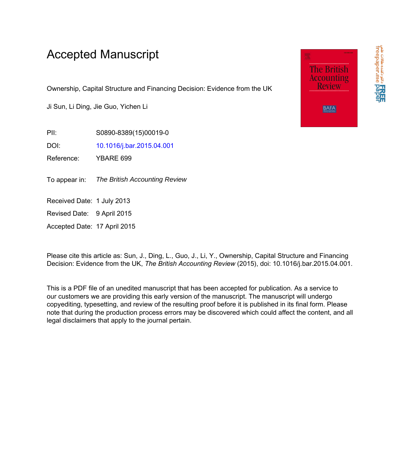# Accepted Manuscript

Ownership, Capital Structure and Financing Decision: Evidence from the UK

Ji Sun, Li Ding, Jie Guo, Yichen Li

PII: S0890-8389(15)00019-0

DOI: [10.1016/j.bar.2015.04.001](http://dx.doi.org/10.1016/j.bar.2015.04.001)

Reference: YBARE 699

To appear in: The British Accounting Review

Received Date: 1 July 2013

Revised Date: 9 April 2015

Accepted Date: 17 April 2015

Please cite this article as: Sun, J., Ding, L., Guo, J., Li, Y., Ownership, Capital Structure and Financing Decision: Evidence from the UK, *The British Accounting Review* (2015), doi: 10.1016/j.bar.2015.04.001.

This is a PDF file of an unedited manuscript that has been accepted for publication. As a service to our customers we are providing this early version of the manuscript. The manuscript will undergo copyediting, typesetting, and review of the resulting proof before it is published in its final form. Please note that during the production process errors may be discovered which could affect the content, and all legal disclaimers that apply to the journal pertain.



**Continue of the proper** .me<br>freepaper .me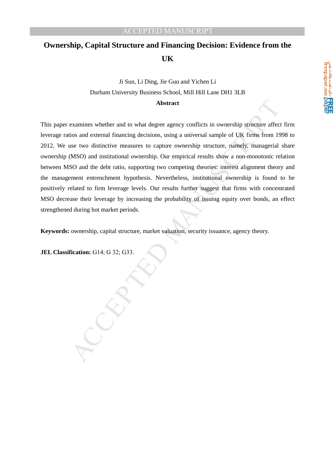# **Ownership, Capital Structure and Financing Decision: Evidence from the UK**

Ji Sun, Li Ding, Jie Guo and Yichen Li Durham University Business School, Mill Hill Lane DH1 3LB

#### **Abstract**

Abstract<br>
accomines whether and to what degree agency conflicts in ownership sinuction affections<br>
and external linancing decisions, using a universal sample of UK firms from 19<br>
sus two distinctive measures to capture own This paper examines whether and to what degree agency conflicts in ownership structure affect firm leverage ratios and external financing decisions, using a universal sample of UK firms from 1998 to 2012. We use two distinctive measures to capture ownership structure, namely, managerial share ownership (MSO) and institutional ownership. Our empirical results show a non-monotonic relation between MSO and the debt ratio, supporting two competing theories: interest alignment theory and the management entrenchment hypothesis. Nevertheless, institutional ownership is found to be positively related to firm leverage levels. Our results further suggest that firms with concentrated MSO decrease their leverage by increasing the probability of issuing equity over bonds, an effect strengthened during hot market periods.

**Keywords:** ownership, capital structure, market valuation, security issuance, agency theory.

**JEL Classification:** G14; G 32; G33.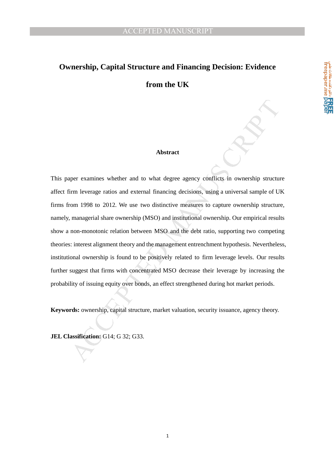# **Ownership, Capital Structure and Financing Decision: Evidence from the UK**

#### **Abstract**

Abstract<br>
Matriact<br>
per examines whether and to what degree agency conflicts in ownership structure<br>
im leverage ratios and external financing decisions, using a universal sample of Ulom<br>
managerial share ownership (MSO) a This paper examines whether and to what degree agency conflicts in ownership structure affect firm leverage ratios and external financing decisions, using a universal sample of UK firms from 1998 to 2012. We use two distinctive measures to capture ownership structure, namely, managerial share ownership (MSO) and institutional ownership. Our empirical results show a non-monotonic relation between MSO and the debt ratio, supporting two competing theories: interest alignment theory and the management entrenchment hypothesis. Nevertheless, institutional ownership is found to be positively related to firm leverage levels. Our results further suggest that firms with concentrated MSO decrease their leverage by increasing the probability of issuing equity over bonds, an effect strengthened during hot market periods.

**Keywords:** ownership, capital structure, market valuation, security issuance, agency theory.

**JEL Classification:** G14; G 32; G33.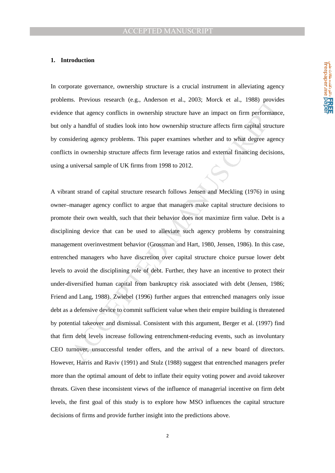#### **1. Introduction**

In corporate governance, ownership structure is a crucial instrument in alleviating agency problems. Previous research (e.g., Anderson et al., 2003; Morck et al., 1988) provides evidence that agency conflicts in ownership structure have an impact on firm performance, but only a handful of studies look into how ownership structure affects firm capital structure by considering agency problems. This paper examines whether and to what degree agency conflicts in ownership structure affects firm leverage ratios and external financing decisions, using a universal sample of UK firms from 1998 to 2012.

Is. Previous research (e.g., Anderson et al., 2003; Morck et al., 1988) provide<br>
that agency conflicts in ownership structure have an impact on firm performance<br>
a handful of studies look into how ownership structure affec A vibrant strand of capital structure research follows Jensen and Meckling (1976) in using owner–manager agency conflict to argue that managers make capital structure decisions to promote their own wealth, such that their behavior does not maximize firm value. Debt is a disciplining device that can be used to alleviate such agency problems by constraining management overinvestment behavior (Grossman and Hart, 1980, Jensen, 1986). In this case, entrenched managers who have discretion over capital structure choice pursue lower debt levels to avoid the disciplining role of debt. Further, they have an incentive to protect their under-diversified human capital from bankruptcy risk associated with debt (Jensen, 1986; Friend and Lang, 1988). Zwiebel (1996) further argues that entrenched managers only issue debt as a defensive device to commit sufficient value when their empire building is threatened by potential takeover and dismissal. Consistent with this argument, Berger et al. (1997) find that firm debt levels increase following entrenchment-reducing events, such as involuntary CEO turnover, unsuccessful tender offers, and the arrival of a new board of directors. However, Harris and Raviv (1991) and Stulz (1988) suggest that entrenched managers prefer more than the optimal amount of debt to inflate their equity voting power and avoid takeover threats. Given these inconsistent views of the influence of managerial incentive on firm debt levels, the first goal of this study is to explore how MSO influences the capital structure decisions of firms and provide further insight into the predictions above.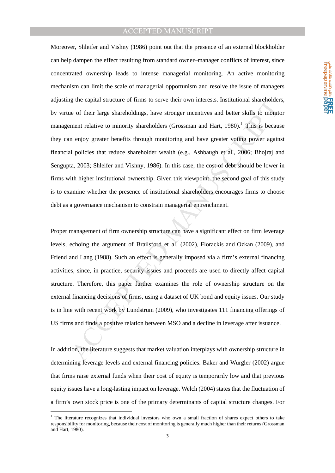ig the capital structure of rims to serve their own interests. Institutional shareholder<br>in the of their large shareholdings, have stronger incentives and better skills to monito<br>ment relative to minority shareholders (Gro Moreover, Shleifer and Vishny (1986) point out that the presence of an external blockholder can help dampen the effect resulting from standard owner–manager conflicts of interest, since concentrated ownership leads to intense managerial monitoring. An active monitoring mechanism can limit the scale of managerial opportunism and resolve the issue of managers adjusting the capital structure of firms to serve their own interests. Institutional shareholders, by virtue of their large shareholdings, have stronger incentives and better skills to monitor management relative to minority shareholders (Grossman and Hart, 1980).<sup>1</sup> This is because they can enjoy greater benefits through monitoring and have greater voting power against financial policies that reduce shareholder wealth (e.g., Ashbaugh et al., 2006; Bhojraj and Sengupta, 2003; Shleifer and Vishny, 1986). In this case, the cost of debt should be lower in firms with higher institutional ownership. Given this viewpoint, the second goal of this study is to examine whether the presence of institutional shareholders encourages firms to choose debt as a governance mechanism to constrain managerial entrenchment.

Proper management of firm ownership structure can have a significant effect on firm leverage levels, echoing the argument of Brailsford et al. (2002), Florackis and Ozkan (2009), and Friend and Lang (1988). Such an effect is generally imposed via a firm's external financing activities, since, in practice, security issues and proceeds are used to directly affect capital structure. Therefore, this paper further examines the role of ownership structure on the external financing decisions of firms, using a dataset of UK bond and equity issues. Our study is in line with recent work by Lundstrum (2009), who investigates 111 financing offerings of US firms and finds a positive relation between MSO and a decline in leverage after issuance.

In addition, the literature suggests that market valuation interplays with ownership structure in determining leverage levels and external financing policies. Baker and Wurgler (2002) argue that firms raise external funds when their cost of equity is temporarily low and that previous equity issues have a long-lasting impact on leverage. Welch (2004) states that the fluctuation of a firm's own stock price is one of the primary determinants of capital structure changes. For

<sup>&</sup>lt;sup>1</sup> The literature recognizes that individual investors who own a small fraction of shares expect others to take responsibility for monitoring, because their cost of monitoring is generally much higher than their returns (Grossman and Hart, 1980).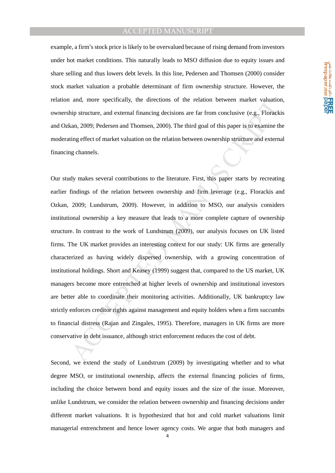example, a firm's stock price is likely to be overvalued because of rising demand from investors under hot market conditions. This naturally leads to MSO diffusion due to equity issues and share selling and thus lowers debt levels. In this line, Pedersen and Thomsen (2000) consider stock market valuation a probable determinant of firm ownership structure. However, the relation and, more specifically, the directions of the relation between market valuation, ownership structure, and external financing decisions are far from conclusive (e.g., Florackis and Ozkan, 2009; Pedersen and Thomsen, 2000). The third goal of this paper is to examine the moderating effect of market valuation on the relation between ownership structure and external financing channels.

and, more spectrically, the directions of the relation between market valuation<br>tip structure, and external financing decisions are far from conclusive (e.g., Florack<br>an, 2009; Pedersen and Thomsen, 2000). The third goal o Our study makes several contributions to the literature. First, this paper starts by recreating earlier findings of the relation between ownership and firm leverage (e.g., Florackis and Ozkan, 2009; Lundstrum, 2009). However, in addition to MSO, our analysis considers institutional ownership a key measure that leads to a more complete capture of ownership structure. In contrast to the work of Lundstrum (2009), our analysis focuses on UK listed firms. The UK market provides an interesting context for our study: UK firms are generally characterized as having widely dispersed ownership, with a growing concentration of institutional holdings. Short and Keasey (1999) suggest that, compared to the US market, UK managers become more entrenched at higher levels of ownership and institutional investors are better able to coordinate their monitoring activities. Additionally, UK bankruptcy law strictly enforces creditor rights against management and equity holders when a firm succumbs to financial distress (Rajan and Zingales, 1995). Therefore, managers in UK firms are more conservative in debt issuance, although strict enforcement reduces the cost of debt.

Second, we extend the study of Lundstrum (2009) by investigating whether and to what degree MSO, or institutional ownership, affects the external financing policies of firms, including the choice between bond and equity issues and the size of the issue. Moreover, unlike Lundstrum, we consider the relation between ownership and financing decisions under different market valuations. It is hypothesized that hot and cold market valuations limit managerial entrenchment and hence lower agency costs. We argue that both managers and

e comper.me paper.<br>freepaper.me paper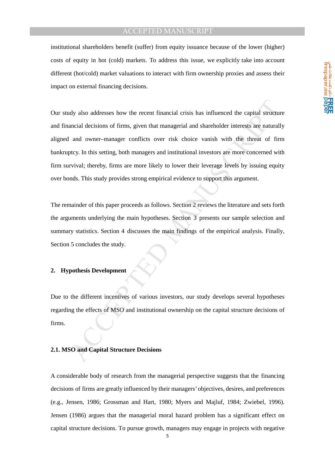institutional shareholders benefit (suffer) from equity issuance because of the lower (higher) costs of equity in hot (cold) markets. To address this issue, we explicitly take into account different (hot/cold) market valuations to interact with firm ownership proxies and assess their impact on external financing decisions.

dy also addresses how the recent financial crisis has influenced the capital structure carrieral decisions of firms, given that managerial and shareholder interests are naturall<br>and owner-manager conflicts over risk choice Our study also addresses how the recent financial crisis has influenced the capital structure and financial decisions of firms, given that managerial and shareholder interests are naturally aligned and owner–manager conflicts over risk choice vanish with the threat of firm bankruptcy. In this setting, both managers and institutional investors are more concerned with firm survival; thereby, firms are more likely to lower their leverage levels by issuing equity over bonds. This study provides strong empirical evidence to support this argument.

The remainder of this paper proceeds as follows. Section 2 reviews the literature and sets forth the arguments underlying the main hypotheses. Section 3 presents our sample selection and summary statistics. Section 4 discusses the main findings of the empirical analysis. Finally, Section 5 concludes the study.

#### **2. Hypothesis Development**

Due to the different incentives of various investors, our study develops several hypotheses regarding the effects of MSO and institutional ownership on the capital structure decisions of firms.

#### **2.1. MSO and Capital Structure Decisions**

A considerable body of research from the managerial perspective suggests that the financing decisions of firms are greatly influenced by their managers' objectives, desires, and preferences (e.g., Jensen, 1986; Grossman and Hart, 1980; Myers and Majluf, 1984; Zwiebel, 1996). Jensen (1986) argues that the managerial moral hazard problem has a significant effect on capital structure decisions. To pursue growth, managers may engage in projects with negative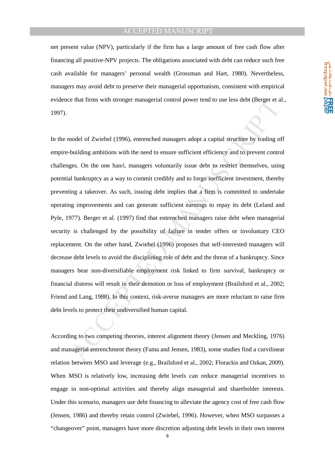net present value (NPV), particularly if the firm has a large amount of free cash flow after financing all positive-NPV projects. The obligations associated with debt can reduce such free cash available for managers' personal wealth (Grossman and Hart, 1980). Nevertheless, managers may avoid debt to preserve their managerial opportunism, consistent with empirical evidence that firms with stronger managerial control power tend to use less debt (Berger et al., 1997).

e that firms with stronger managerial control power tend to use less debt (Berger et a<br>nodel of Zwiebel (1996), entrenched managers adopt a capital structure by trading or<br>building ambitions with the need to ensure suffici In the model of Zwiebel (1996), entrenched managers adopt a capital structure by trading off empire-building ambitions with the need to ensure sufficient efficiency and to prevent control challenges. On the one hand, managers voluntarily issue debt to restrict themselves, using potential bankruptcy as a way to commit credibly and to forgo inefficient investment, thereby preventing a takeover. As such, issuing debt implies that a firm is committed to undertake operating improvements and can generate sufficient earnings to repay its debt (Leland and Pyle, 1977). Berger et al. (1997) find that entrenched managers raise debt when managerial security is challenged by the possibility of failure in tender offers or involuntary CEO replacement. On the other hand, Zwiebel (1996) proposes that self-interested managers will decrease debt levels to avoid the disciplining role of debt and the threat of a bankruptcy. Since managers bear non-diversifiable employment risk linked to firm survival, bankruptcy or financial distress will result in their demotion or loss of employment (Brailsford et al., 2002; Friend and Lang, 1988). In this context, risk-averse managers are more reluctant to raise firm debt levels to protect their undiversified human capital.

According to two competing theories, interest alignment theory (Jensen and Meckling, 1976) and managerial entrenchment theory (Fama and Jensen, 1983), some studies find a curvilinear relation between MSO and leverage (e.g., Brailsford et al., 2002; Florackis and Ozkan, 2009). When MSO is relatively low, increasing debt levels can reduce managerial incentives to engage in non-optimal activities and thereby align managerial and shareholder interests. Under this scenario, managers use debt financing to alleviate the agency cost of free cash flow (Jensen, 1986) and thereby retain control (Zwiebel, 1996). However, when MSO surpasses a "changeover" point, managers have more discretion adjusting debt levels in their own interest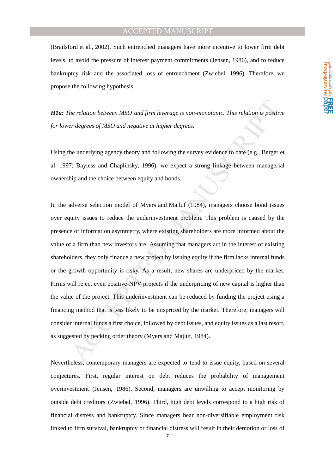(Brailsford et al., 2002). Such entrenched managers have more incentive to lower firm debt levels, to avoid the pressure of interest payment commitments (Jensen, 1986), and to reduce bankruptcy risk and the associated loss of entrenchment (Zwiebel, 1996). Therefore, we propose the following hypothesis.

*H1a: The relation between MSO and firm leverage is non-monotonic. This relation is positive for lower degrees of MSO and negative at higher degrees.* 

Using the underlying agency theory and following the survey evidence to date (e.g., Berger et al. 1997; Bayless and Chaplinsky, 1996), we expect a strong linkage between managerial ownership and the choice between equity and bonds.

the relation between MSO and firm leverage is non-monotonic. This relation is positive refegrees of MSO and negative at higher degrees.<br>
He underlying agency theory and following the survey evidence to date (e.g., Berger o In the adverse selection model of Myers and Majluf (1984), managers choose bond issues over equity issues to reduce the underinvestment problem. This problem is caused by the presence of information asymmetry, where existing shareholders are more informed about the value of a firm than new investors are. Assuming that managers act in the interest of existing shareholders, they only finance a new project by issuing equity if the firm lacks internal funds or the growth opportunity is risky. As a result, new shares are underpriced by the market. Firms will reject even positive-NPV projects if the underpricing of new capital is higher than the value of the project. This underinvestment can be reduced by funding the project using a financing method that is less likely to be mispriced by the market. Therefore, managers will consider internal funds a first choice, followed by debt issues, and equity issues as a last resort, as suggested by pecking order theory (Myers and Majluf, 1984).

Nevertheless, contemporary managers are expected to tend to issue equity, based on several conjectures. First, regular interest on debt reduces the probability of management overinvestment (Jensen, 1986). Second, managers are unwilling to accept monitoring by outside debt creditors (Zwiebel, 1996). Third, high debt levels correspond to a high risk of financial distress and bankruptcy. Since managers bear non-diversifiable employment risk linked to firm survival, bankruptcy or financial distress will result in their demotion or loss of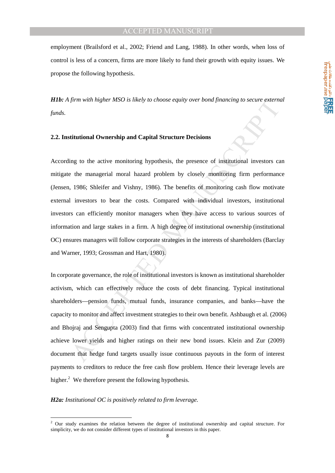employment (Brailsford et al., 2002; Friend and Lang, 1988). In other words, when loss of control is less of a concern, firms are more likely to fund their growth with equity issues. We propose the following hypothesis.

*H1b: A firm with higher MSO is likely to choose equity over bond financing to secure external funds.* 

#### **2.2. Institutional Ownership and Capital Structure Decisions**

firm with higher MSO is likely to choose equity over bond financing to secure externational Ownership and Capital Structure Decisions<br>ting to the active monitoring hypothesis, the presence of institutional investors can<br>th According to the active monitoring hypothesis, the presence of institutional investors can mitigate the managerial moral hazard problem by closely monitoring firm performance (Jensen, 1986; Shleifer and Vishny, 1986). The benefits of monitoring cash flow motivate external investors to bear the costs. Compared with individual investors, institutional investors can efficiently monitor managers when they have access to various sources of information and large stakes in a firm. A high degree of institutional ownership (institutional OC) ensures managers will follow corporate strategies in the interests of shareholders (Barclay and Warner, 1993; Grossman and Hart, 1980).

In corporate governance, the role of institutional investors is known as institutional shareholder activism, which can effectively reduce the costs of debt financing. Typical institutional shareholders—pension funds, mutual funds, insurance companies, and banks—have the capacity to monitor and affect investment strategies to their own benefit. Ashbaugh et al. (2006) and Bhojraj and Sengupta (2003) find that firms with concentrated institutional ownership achieve lower yields and higher ratings on their new bond issues. Klein and Zur (2009) document that hedge fund targets usually issue continuous payouts in the form of interest payments to creditors to reduce the free cash flow problem. Hence their leverage levels are higher.<sup>2</sup> We therefore present the following hypothesis.

*H2a: Institutional OC is positively related to firm leverage.* 

<sup>&</sup>lt;sup>2</sup> Our study examines the relation between the degree of institutional ownership and capital structure. For simplicity, we do not consider different types of institutional investors in this paper.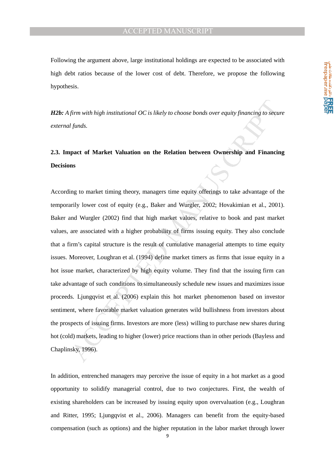Following the argument above, large institutional holdings are expected to be associated with high debt ratios because of the lower cost of debt. Therefore, we propose the following hypothesis.

*H2b: A firm with high institutional OC is likely to choose bonds over equity financing to secure external funds.* 

# **2.3. Impact of Market Valuation on the Relation between Ownership and Financing Decisions**

firm with high institutional OC is likely to choose bonds over equity financing to seem<br>funds.<br>In funds.<br>The secure of Market Valuation on the Relation between Ownership and Financin<br>metals.<br>The secure of Market timing the According to market timing theory, managers time equity offerings to take advantage of the temporarily lower cost of equity (e.g., Baker and Wurgler, 2002; Hovakimian et al., 2001). Baker and Wurgler (2002) find that high market values, relative to book and past market values, are associated with a higher probability of firms issuing equity. They also conclude that a firm's capital structure is the result of cumulative managerial attempts to time equity issues. Moreover, Loughran et al. (1994) define market timers as firms that issue equity in a hot issue market, characterized by high equity volume. They find that the issuing firm can take advantage of such conditions to simultaneously schedule new issues and maximizes issue proceeds. Ljungqvist et al. (2006) explain this hot market phenomenon based on investor sentiment, where favorable market valuation generates wild bullishness from investors about the prospects of issuing firms. Investors are more (less) willing to purchase new shares during hot (cold) markets, leading to higher (lower) price reactions than in other periods (Bayless and Chaplinsky, 1996).

In addition, entrenched managers may perceive the issue of equity in a hot market as a good opportunity to solidify managerial control, due to two conjectures. First, the wealth of existing shareholders can be increased by issuing equity upon overvaluation (e.g., Loughran and Ritter, 1995; Ljungqvist et al., 2006). Managers can benefit from the equity-based compensation (such as options) and the higher reputation in the labor market through lower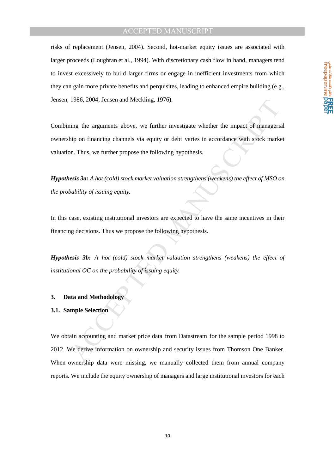risks of replacement (Jensen, 2004). Second, hot-market equity issues are associated with larger proceeds (Loughran et al., 1994). With discretionary cash flow in hand, managers tend to invest excessively to build larger firms or engage in inefficient investments from which they can gain more private benefits and perquisites, leading to enhanced empire building (e.g., Jensen, 1986, 2004; Jensen and Meckling, 1976).

1986, 2004; Jensen and Mecking, 1976).<br>
ing the arguments above, we further investigate whether the impact of manageriality on financing channels via equity or debt varies in accordance with stock marked.<br>
In: Thus, we fu Combining the arguments above, we further investigate whether the impact of managerial ownership on financing channels via equity or debt varies in accordance with stock market valuation. Thus, we further propose the following hypothesis.

*Hypothesis 3a: A hot (cold) stock market valuation strengthens (weakens) the effect of MSO on the probability of issuing equity.* 

In this case, existing institutional investors are expected to have the same incentives in their financing decisions. Thus we propose the following hypothesis.

*Hypothesis 3b: A hot (cold) stock market valuation strengthens (weakens) the effect of institutional OC on the probability of issuing equity.* 

#### **3. Data and Methodology**

# **3.1. Sample Selection**

We obtain accounting and market price data from Datastream for the sample period 1998 to 2012. We derive information on ownership and security issues from Thomson One Banker. When ownership data were missing, we manually collected them from annual company reports. We include the equity ownership of managers and large institutional investors for each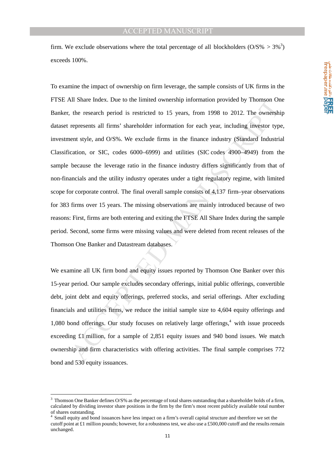firm. We exclude observations where the total percentage of all blockholders  $(O/S\% > 3\%^3)$ exceeds 100%.

All Share maex. Due to the limited ownership information provided by Thomson On<br>the research period is restricted to 15 years, from 1998 to 2012. The ownershi<br>represents all firms' shareholder information for each year, in To examine the impact of ownership on firm leverage, the sample consists of UK firms in the FTSE All Share Index. Due to the limited ownership information provided by Thomson One Banker, the research period is restricted to 15 years, from 1998 to 2012. The ownership dataset represents all firms' shareholder information for each year, including investor type, investment style, and O/S%. We exclude firms in the finance industry (Standard Industrial Classification, or SIC, codes 6000–6999) and utilities (SIC codes 4900–4949) from the sample because the leverage ratio in the finance industry differs significantly from that of non-financials and the utility industry operates under a tight regulatory regime, with limited scope for corporate control. The final overall sample consists of 4,137 firm–year observations for 383 firms over 15 years. The missing observations are mainly introduced because of two reasons: First, firms are both entering and exiting the FTSE All Share Index during the sample period. Second, some firms were missing values and were deleted from recent releases of the Thomson One Banker and Datastream databases.

We examine all UK firm bond and equity issues reported by Thomson One Banker over this 15-year period. Our sample excludes secondary offerings, initial public offerings, convertible debt, joint debt and equity offerings, preferred stocks, and serial offerings. After excluding financials and utilities firms, we reduce the initial sample size to 4,604 equity offerings and 1,080 bond offerings. Our study focuses on relatively large offerings,<sup>4</sup> with issue proceeds exceeding  $\pounds1$  million, for a sample of 2,851 equity issues and 940 bond issues. We match ownership and firm characteristics with offering activities. The final sample comprises 772 bond and 530 equity issuances.

<sup>&</sup>lt;sup>3</sup> Thomson One Banker defines O/S% as the percentage of total shares outstanding that a shareholder holds of a firm, calculated by dividing investor share positions in the firm by the firm's most recent publicly available total number of shares outstanding.<br><sup>4</sup> Small equity and bond issuances have less impact on a firm's overall capital structure and therefore we set the

cutoff point at £1 million pounds; however, for a robustness test, we also use a £500,000 cutoff and the results remain unchanged.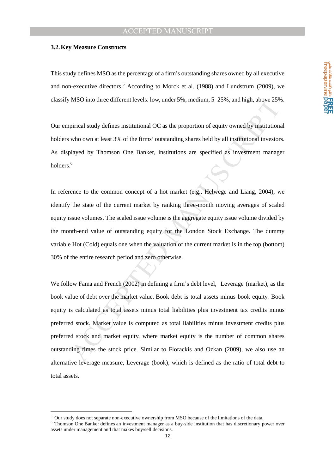#### **3.2.Key Measure Constructs**

This study defines MSO as the percentage of a firm's outstanding shares owned by all executive and non-executive directors.<sup>5</sup> According to Morck et al. (1988) and Lundstrum (2009), we classify MSO into three different levels: low, under 5%; medium, 5–25%, and high, above 25%.

Our empirical study defines institutional OC as the proportion of equity owned by institutional holders who own at least 3% of the firms' outstanding shares held by all institutional investors. As displayed by Thomson One Banker, institutions are specified as investment manager holders.<sup>6</sup>

In reference to the common concept of a hot market (e.g., Helwege and Liang, 2004), we identify the state of the current market by ranking three-month moving averages of scaled equity issue volumes. The scaled issue volume is the aggregate equity issue volume divided by the month-end value of outstanding equity for the London Stock Exchange. The dummy variable Hot (Cold) equals one when the valuation of the current market is in the top (bottom) 30% of the entire research period and zero otherwise.

MSO into three different levels: low, under 5%; medium, 5-25%, and high, above 25%<br>pirical study defines institutional OC as the proportion of equity owned by institutions<br>who own at least 3% of the firms' outstanding sha We follow Fama and French (2002) in defining a firm's debt level, Leverage (market), as the book value of debt over the market value. Book debt is total assets minus book equity. Book equity is calculated as total assets minus total liabilities plus investment tax credits minus preferred stock. Market value is computed as total liabilities minus investment credits plus preferred stock and market equity, where market equity is the number of common shares outstanding times the stock price. Similar to Florackis and Ozkan (2009), we also use an alternative leverage measure, Leverage (book), which is defined as the ratio of total debt to total assets.

 $5$  Our study does not separate non-executive ownership from MSO because of the limitations of the data.

<sup>&</sup>lt;sup>6</sup> Thomson One Banker defines an investment manager as a buy-side institution that has discretionary power over assets under management and that makes buy/sell decisions.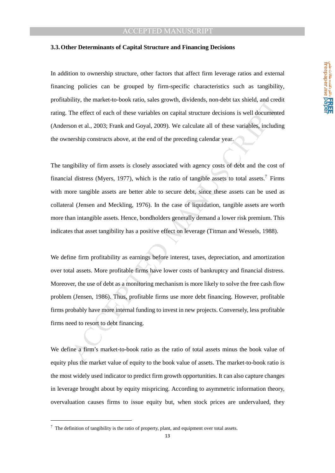#### **3.3.Other Determinants of Capital Structure and Financing Decisions**

In addition to ownership structure, other factors that affect firm leverage ratios and external financing policies can be grouped by firm-specific characteristics such as tangibility, profitability, the market-to-book ratio, sales growth, dividends, non-debt tax shield, and credit rating. The effect of each of these variables on capital structure decisions is well documented (Anderson et al., 2003; Frank and Goyal, 2009). We calculate all of these variables, including the ownership constructs above, at the end of the preceding calendar year.

bitty, the market-to-book ratio, sales growth, dividends, non-debt tax shield, and cred<br>The effect of each of these variables on capital structure decisions is well documente<br>for the alles control and Goyal, 2009). We calc The tangibility of firm assets is closely associated with agency costs of debt and the cost of financial distress (Myers, 1977), which is the ratio of tangible assets to total assets.<sup>7</sup> Firms with more tangible assets are better able to secure debt, since these assets can be used as collateral (Jensen and Meckling, 1976). In the case of liquidation, tangible assets are worth more than intangible assets. Hence, bondholders generally demand a lower risk premium. This indicates that asset tangibility has a positive effect on leverage (Titman and Wessels, 1988).

We define firm profitability as earnings before interest, taxes, depreciation, and amortization over total assets. More profitable firms have lower costs of bankruptcy and financial distress. Moreover, the use of debt as a monitoring mechanism is more likely to solve the free cash flow problem (Jensen, 1986). Thus, profitable firms use more debt financing. However, profitable firms probably have more internal funding to invest in new projects. Conversely, less profitable firms need to resort to debt financing.

We define a firm's market-to-book ratio as the ratio of total assets minus the book value of equity plus the market value of equity to the book value of assets. The market-to-book ratio is the most widely used indicator to predict firm growth opportunities. It can also capture changes in leverage brought about by equity mispricing. According to asymmetric information theory, overvaluation causes firms to issue equity but, when stock prices are undervalued, they

 $7$  The definition of tangibility is the ratio of property, plant, and equipment over total assets.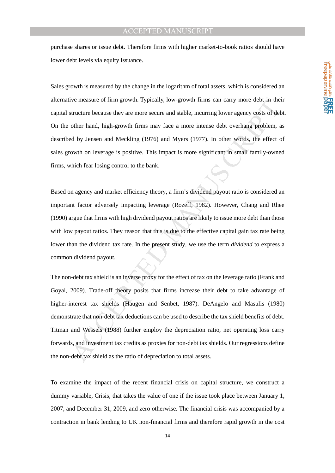purchase shares or issue debt. Therefore firms with higher market-to-book ratios should have lower debt levels via equity issuance.

Sales growth is measured by the change in the logarithm of total assets, which is considered an alternative measure of firm growth. Typically, low-growth firms can carry more debt in their capital structure because they are more secure and stable, incurring lower agency costs of debt. On the other hand, high-growth firms may face a more intense debt overhang problem, as described by Jensen and Meckling (1976) and Myers (1977). In other words, the effect of sales growth on leverage is positive. This impact is more significant in small family-owned firms, which fear losing control to the bank.

Based on agency and market efficiency theory, a firm's dividend payout ratio is considered an important factor adversely impacting leverage (Rozeff, 1982). However, Chang and Rhee (1990) argue that firms with high dividend payout ratios are likely to issue more debt than those with low payout ratios. They reason that this is due to the effective capital gain tax rate being lower than the dividend tax rate. In the present study, we use the term *dividend* to express a common dividend payout.

ive measure of timi growth. Typically, low-growth timis can carry more debt in the structure because they are more secure and stable, incurring lower agency costs of delt other hand, high-growth firms may face a more inten The non-debt tax shield is an inverse proxy for the effect of tax on the leverage ratio (Frank and Goyal, 2009). Trade-off theory posits that firms increase their debt to take advantage of higher-interest tax shields (Haugen and Senbet, 1987). DeAngelo and Masulis (1980) demonstrate that non-debt tax deductions can be used to describe the tax shield benefits of debt. Titman and Wessels (1988) further employ the depreciation ratio, net operating loss carry forwards, and investment tax credits as proxies for non-debt tax shields. Our regressions define the non-debt tax shield as the ratio of depreciation to total assets.

To examine the impact of the recent financial crisis on capital structure, we construct a dummy variable, Crisis, that takes the value of one if the issue took place between January 1, 2007, and December 31, 2009, and zero otherwise. The financial crisis was accompanied by a contraction in bank lending to UK non-financial firms and therefore rapid growth in the cost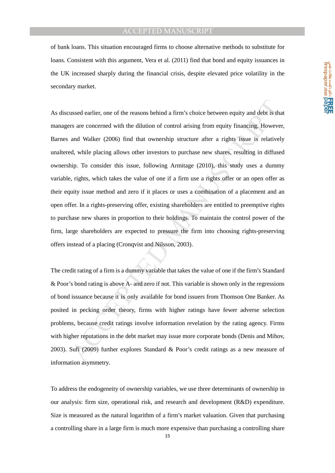# ale Civia منتده مقالات علمی<br>freepaper.me paper

#### ACCEPTED MANUSCRIPT

of bank loans. This situation encouraged firms to choose alternative methods to substitute for loans. Consistent with this argument, Vera et al. (2011) find that bond and equity issuances in the UK increased sharply during the financial crisis, despite elevated price volatility in the secondary market.

ussed earlier, one of the reasons behind a firm's choice between equity and debt is that are concerned with the dilution of control arising from equity financing. Howeve and Walker (2006) find that ownership structure afte As discussed earlier, one of the reasons behind a firm's choice between equity and debt is that managers are concerned with the dilution of control arising from equity financing. However, Barnes and Walker (2006) find that ownership structure after a rights issue is relatively unaltered, while placing allows other investors to purchase new shares, resulting in diffused ownership. To consider this issue, following Armitage (2010), this study uses a dummy variable, rights, which takes the value of one if a firm use a rights offer or an open offer as their equity issue method and zero if it places or uses a combination of a placement and an open offer. In a rights-preserving offer, existing shareholders are entitled to preemptive rights to purchase new shares in proportion to their holdings. To maintain the control power of the firm, large shareholders are expected to pressure the firm into choosing rights-preserving offers instead of a placing (Cronqvist and Nilsson, 2003).

The credit rating of a firm is a dummy variable that takes the value of one if the firm's Standard & Poor's bond rating is above A- and zero if not. This variable is shown only in the regressions of bond issuance because it is only available for bond issuers from Thomson One Banker. As posited in pecking order theory, firms with higher ratings have fewer adverse selection problems, because credit ratings involve information revelation by the rating agency. Firms with higher reputations in the debt market may issue more corporate bonds (Denis and Mihov, 2003). Sufi (2009) further explores Standard & Poor's credit ratings as a new measure of information asymmetry.

To address the endogeneity of ownership variables, we use three determinants of ownership in our analysis: firm size, operational risk, and research and development (R&D) expenditure. Size is measured as the natural logarithm of a firm's market valuation. Given that purchasing a controlling share in a large firm is much more expensive than purchasing a controlling share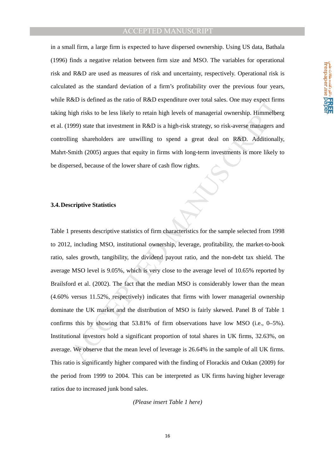in a small firm, a large firm is expected to have dispersed ownership. Using US data, Bathala (1996) finds a negative relation between firm size and MSO. The variables for operational risk and R&D are used as measures of risk and uncertainty, respectively. Operational risk is calculated as the standard deviation of a firm's profitability over the previous four years, while R&D is defined as the ratio of R&D expenditure over total sales. One may expect firms taking high risks to be less likely to retain high levels of managerial ownership. Himmelberg et al. (1999) state that investment in R&D is a high-risk strategy, so risk-averse managers and controlling shareholders are unwilling to spend a great deal on R&D. Additionally, Mahrt-Smith (2005) argues that equity in firms with long-term investments is more likely to be dispersed, because of the lower share of cash flow rights.

a تا **FREE**<br>freepaper.me paper

#### **3.4.Descriptive Statistics**

(xD) is defined as the ratio of K&D expenditure over total sales. One may expect firm<br>tigh risks to be less likely to retain high levels of managerial ownership. Himmelber<br>999) state that investment in R&D is a high-risk s Table 1 presents descriptive statistics of firm characteristics for the sample selected from 1998 to 2012, including MSO, institutional ownership, leverage, profitability, the market-to-book ratio, sales growth, tangibility, the dividend payout ratio, and the non-debt tax shield. The average MSO level is 9.05%, which is very close to the average level of 10.65% reported by Brailsford et al. (2002). The fact that the median MSO is considerably lower than the mean (4.60% versus 11.52%, respectively) indicates that firms with lower managerial ownership dominate the UK market and the distribution of MSO is fairly skewed. Panel B of Table 1 confirms this by showing that 53.81% of firm observations have low MSO (i.e., 0–5%). Institutional investors hold a significant proportion of total shares in UK firms, 32.63%, on average. We observe that the mean level of leverage is 26.64% in the sample of all UK firms. This ratio is significantly higher compared with the finding of Florackis and Ozkan (2009) for the period from 1999 to 2004. This can be interpreted as UK firms having higher leverage ratios due to increased junk bond sales.

#### *(Please insert Table 1 here)*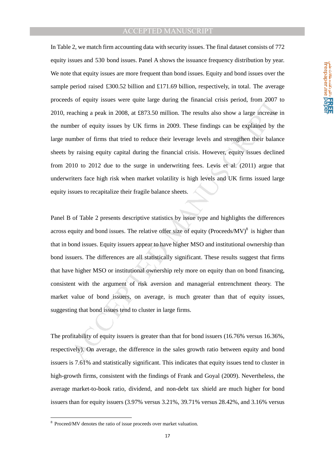In Table 2, we match firm accounting data with security issues. The final dataset consists of 772 equity issues and 530 bond issues. Panel A shows the issuance frequency distribution by year. We note that equity issues are more frequent than bond issues. Equity and bond issues over the sample period raised £300.52 billion and £171.69 billion, respectively, in total. The average proceeds of equity issues were quite large during the financial crisis period, from 2007 to 2010, reaching a peak in 2008, at £873.50 million. The results also show a large increase in the number of equity issues by UK firms in 2009. These findings can be explained by the large number of firms that tried to reduce their leverage levels and strengthen their balance sheets by raising equity capital during the financial crisis. However, equity issues declined from 2010 to 2012 due to the surge in underwriting fees. Levis et al. (2011) argue that underwriters face high risk when market volatility is high levels and UK firms issued large equity issues to recapitalize their fragile balance sheets.

EREE) انلار نتشده مقالات علمی<br>freepaper.me

is of equity issues were quite large during the financial crisis period, from 2007 taching a peak in 2008, at £873.50 million. The results also show a large increase i<br>bher of equity issues by UK firms in 2009. These findi Panel B of Table 2 presents descriptive statistics by issue type and highlights the differences across equity and bond issues. The relative offer size of equity (Proceeds/MV) $^8$  is higher than that in bond issues. Equity issuers appear to have higher MSO and institutional ownership than bond issuers. The differences are all statistically significant. These results suggest that firms that have higher MSO or institutional ownership rely more on equity than on bond financing, consistent with the argument of risk aversion and managerial entrenchment theory. The market value of bond issuers, on average, is much greater than that of equity issues, suggesting that bond issues tend to cluster in large firms.

The profitability of equity issuers is greater than that for bond issuers (16.76% versus 16.36%, respectively). On average, the difference in the sales growth ratio between equity and bond issuers is 7.61% and statistically significant. This indicates that equity issues tend to cluster in high-growth firms, consistent with the findings of Frank and Goyal (2009). Nevertheless, the average market-to-book ratio, dividend, and non-debt tax shield are much higher for bond issuers than for equity issuers (3.97% versus 3.21%, 39.71% versus 28.42%, and 3.16% versus

<sup>&</sup>lt;sup>8</sup> Proceed/MV denotes the ratio of issue proceeds over market valuation.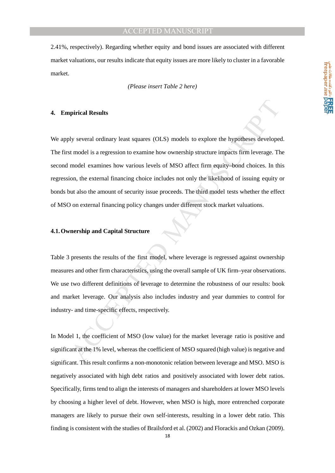2.41%, respectively). Regarding whether equity and bond issues are associated with different market valuations, our results indicate that equity issues are more likely to cluster in a favorable market.

 *(Please insert Table 2 here)* 

#### **4. Empirical Results**

pricial Results<br>ty several ordinary least squares (OLS) models to explore the hypotheses developed<br>translel is a regression to examine how ownership structure impacts firm leverage. The<br>model examines how various levels of We apply several ordinary least squares (OLS) models to explore the hypotheses developed. The first model is a regression to examine how ownership structure impacts firm leverage. The second model examines how various levels of MSO affect firm equity–bond choices. In this regression, the external financing choice includes not only the likelihood of issuing equity or bonds but also the amount of security issue proceeds. The third model tests whether the effect of MSO on external financing policy changes under different stock market valuations.

#### **4.1.Ownership and Capital Structure**

Table 3 presents the results of the first model, where leverage is regressed against ownership measures and other firm characteristics, using the overall sample of UK firm–year observations. We use two different definitions of leverage to determine the robustness of our results: book and market leverage. Our analysis also includes industry and year dummies to control for industry- and time-specific effects, respectively.

In Model 1, the coefficient of MSO (low value) for the market leverage ratio is positive and significant at the 1% level, whereas the coefficient of MSO squared (high value) is negative and significant. This result confirms a non-monotonic relation between leverage and MSO. MSO is negatively associated with high debt ratios and positively associated with lower debt ratios. Specifically, firms tend to align the interests of managers and shareholders at lower MSO levels by choosing a higher level of debt. However, when MSO is high, more entrenched corporate managers are likely to pursue their own self-interests, resulting in a lower debt ratio. This finding is consistent with the studies of Brailsford et al. (2002) and Florackis and Ozkan (2009).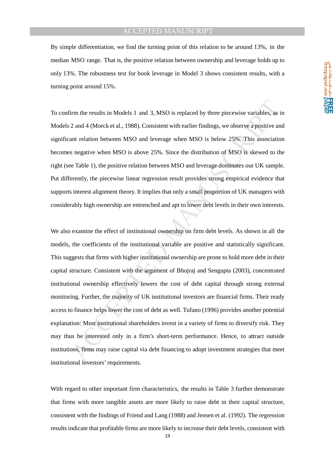# e comper.me paper.<br>freepaper.me paper

#### ACCEPTED MANUSCRIPT

By simple differentiation, we find the turning point of this relation to be around 13%, in the median MSO range. That is, the positive relation between ownership and leverage holds up to only 13%. The robustness test for book leverage in Model 3 shows consistent results, with a turning point around 15%.

To confirm the results in Models 1 and 3, MSO is replaced by three piecewise variables, as in Models 2 and 4 (Morck et al., 1988). Consistent with earlier findings, we observe a positive and significant relation between MSO and leverage when MSO is below 25%. This association becomes negative when MSO is above 25%. Since the distribution of MSO is skewed to the right (see Table 1), the positive relation between MSO and leverage dominates our UK sample. Put differently, the piecewise linear regression result provides strong empirical evidence that supports interest alignment theory. It implies that only a small proportion of UK managers with considerably high ownership are entrenched and apt to lower debt levels in their own interests.

Firm the results in Models 1 and 3, MSO is replaced by three piecewise variables, as i<br>
2 and 4 (Morck et al., 1988). Consistent with earlier findings, we observe a positive an<br>
ant relation between MSO and leverage when We also examine the effect of institutional ownership on firm debt levels. As shown in all the models, the coefficients of the institutional variable are positive and statistically significant. This suggests that firms with higher institutional ownership are prone to hold more debt in their capital structure. Consistent with the argument of Bhojraj and Sengupta (2003), concentrated institutional ownership effectively lowers the cost of debt capital through strong external monitoring. Further, the majority of UK institutional investors are financial firms. Their ready access to finance helps lower the cost of debt as well. Tufano (1996) provides another potential explanation: Most institutional shareholders invest in a variety of firms to diversify risk. They may thus be interested only in a firm's short-term performance. Hence, to attract outside institutions, firms may raise capital via debt financing to adopt investment strategies that meet institutional investors' requirements.

With regard to other important firm characteristics, the results in Table 3 further demonstrate that firms with more tangible assets are more likely to raise debt in their capital structure, consistent with the findings of Friend and Lang (1988) and Jensen et al. (1992). The regression results indicate that profitable firms are more likely to increase their debt levels, consistent with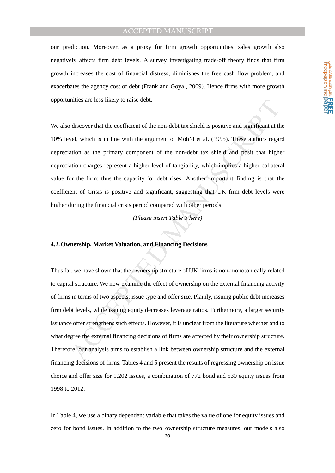our prediction. Moreover, as a proxy for firm growth opportunities, sales growth also negatively affects firm debt levels. A survey investigating trade-off theory finds that firm growth increases the cost of financial distress, diminishes the free cash flow problem, and exacerbates the agency cost of debt (Frank and Goyal, 2009). Hence firms with more growth opportunities are less likely to raise debt.

We also discover that the coefficient of the non-debt tax shield is positive and significant at the 10% level, which is in line with the argument of Moh'd et al. (1995). These authors regard depreciation as the primary component of the non-debt tax shield and posit that higher depreciation charges represent a higher level of tangibility, which implies a higher collateral value for the firm; thus the capacity for debt rises. Another important finding is that the coefficient of Crisis is positive and significant, suggesting that UK firm debt levels were higher during the financial crisis period compared with other periods.

*(Please insert Table 3 here)* 

#### **4.2.Ownership, Market Valuation, and Financing Decisions**

nities are less likely to raise debt.<br>
discover that the coefficient of the non-debt tax shield is positive and significant at the<br>
vel, which is in line with the argument of Moh'd et al. (1995). These authors regard<br>
tati Thus far, we have shown that the ownership structure of UK firms is non-monotonically related to capital structure. We now examine the effect of ownership on the external financing activity of firms in terms of two aspects: issue type and offer size. Plainly, issuing public debt increases firm debt levels, while issuing equity decreases leverage ratios. Furthermore, a larger security issuance offer strengthens such effects. However, it is unclear from the literature whether and to what degree the external financing decisions of firms are affected by their ownership structure. Therefore, our analysis aims to establish a link between ownership structure and the external financing decisions of firms. Tables 4 and 5 present the results of regressing ownership on issue choice and offer size for 1,202 issues, a combination of 772 bond and 530 equity issues from 1998 to 2012.

In Table 4, we use a binary dependent variable that takes the value of one for equity issues and zero for bond issues. In addition to the two ownership structure measures, our models also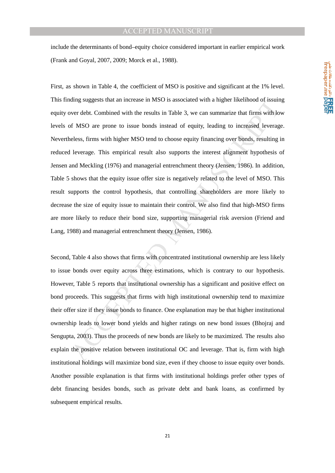include the determinants of bond–equity choice considered important in earlier empirical work (Frank and Goyal, 2007, 2009; Morck et al., 1988).

ding suggests final an increase in MSO is associated with a higher likelihood of issuinty over debt. Combined with the results in Table 3, we can summarize that firms with look of MSO are prone to issue bonds instead of eq First, as shown in Table 4, the coefficient of MSO is positive and significant at the 1% level. This finding suggests that an increase in MSO is associated with a higher likelihood of issuing equity over debt. Combined with the results in Table 3, we can summarize that firms with low levels of MSO are prone to issue bonds instead of equity, leading to increased leverage. Nevertheless, firms with higher MSO tend to choose equity financing over bonds, resulting in reduced leverage. This empirical result also supports the interest alignment hypothesis of Jensen and Meckling (1976) and managerial entrenchment theory (Jensen, 1986). In addition, Table 5 shows that the equity issue offer size is negatively related to the level of MSO. This result supports the control hypothesis, that controlling shareholders are more likely to decrease the size of equity issue to maintain their control. We also find that high-MSO firms are more likely to reduce their bond size, supporting managerial risk aversion (Friend and Lang, 1988) and managerial entrenchment theory (Jensen, 1986).

Second, Table 4 also shows that firms with concentrated institutional ownership are less likely to issue bonds over equity across three estimations, which is contrary to our hypothesis. However, Table 5 reports that institutional ownership has a significant and positive effect on bond proceeds. This suggests that firms with high institutional ownership tend to maximize their offer size if they issue bonds to finance. One explanation may be that higher institutional ownership leads to lower bond yields and higher ratings on new bond issues (Bhojraj and Sengupta, 2003). Thus the proceeds of new bonds are likely to be maximized. The results also explain the positive relation between institutional OC and leverage. That is, firm with high institutional holdings will maximize bond size, even if they choose to issue equity over bonds. Another possible explanation is that firms with institutional holdings prefer other types of debt financing besides bonds, such as private debt and bank loans, as confirmed by subsequent empirical results.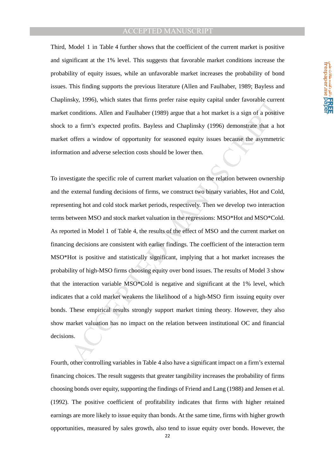Third, Model 1 in Table 4 further shows that the coefficient of the current market is positive and significant at the 1% level. This suggests that favorable market conditions increase the probability of equity issues, while an unfavorable market increases the probability of bond issues. This finding supports the previous literature (Allen and Faulhaber, 1989; Bayless and Chaplinsky, 1996), which states that firms prefer raise equity capital under favorable current market conditions. Allen and Faulhaber (1989) argue that a hot market is a sign of a positive shock to a firm's expected profits. Bayless and Chaplinsky (1996) demonstrate that a hot market offers a window of opportunity for seasoned equity issues because the asymmetric information and adverse selection costs should be lower then.

sky, 1996), which states that firms prefer raise equity capital under favorable current<br>conditions. Allen and Faullaber (1989) argue that a hot market is a sign of a positivo<br>o a firm's expected profits. Bayless and Chapli To investigate the specific role of current market valuation on the relation between ownership and the external funding decisions of firms, we construct two binary variables, Hot and Cold, representing hot and cold stock market periods, respectively. Then we develop two interaction terms between MSO and stock market valuation in the regressions: MSO\*Hot and MSO\*Cold. As reported in Model 1 of Table 4, the results of the effect of MSO and the current market on financing decisions are consistent with earlier findings. The coefficient of the interaction term MSO\*Hot is positive and statistically significant, implying that a hot market increases the probability of high-MSO firms choosing equity over bond issues. The results of Model 3 show that the interaction variable MSO\*Cold is negative and significant at the 1% level, which indicates that a cold market weakens the likelihood of a high-MSO firm issuing equity over bonds. These empirical results strongly support market timing theory. However, they also show market valuation has no impact on the relation between institutional OC and financial decisions.

Fourth, other controlling variables in Table 4 also have a significant impact on a firm's external financing choices. The result suggests that greater tangibility increases the probability of firms choosing bonds over equity, supporting the findings of Friend and Lang (1988) and Jensen et al. (1992). The positive coefficient of profitability indicates that firms with higher retained earnings are more likely to issue equity than bonds. At the same time, firms with higher growth opportunities, measured by sales growth, also tend to issue equity over bonds. However, the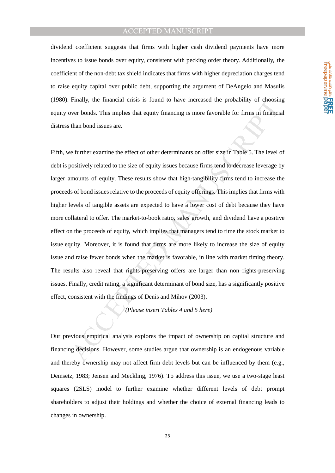dividend coefficient suggests that firms with higher cash dividend payments have more incentives to issue bonds over equity, consistent with pecking order theory. Additionally, the coefficient of the non-debt tax shield indicates that firms with higher depreciation charges tend to raise equity capital over public debt, supporting the argument of DeAngelo and Masulis (1980). Finally, the financial crisis is found to have increased the probability of choosing equity over bonds. This implies that equity financing is more favorable for firms in financial distress than bond issues are.

Finally, the financial crisis is found to have increased the probability of choosin<br>ver bonds. This implies that equity financing is more favorable for firms in financia<br>than bond issues are.<br>
fe further examine the effec Fifth, we further examine the effect of other determinants on offer size in Table 5. The level of debt is positively related to the size of equity issues because firms tend to decrease leverage by larger amounts of equity. These results show that high-tangibility firms tend to increase the proceeds of bond issues relative to the proceeds of equity offerings. This implies that firms with higher levels of tangible assets are expected to have a lower cost of debt because they have more collateral to offer. The market-to-book ratio, sales growth, and dividend have a positive effect on the proceeds of equity, which implies that managers tend to time the stock market to issue equity. Moreover, it is found that firms are more likely to increase the size of equity issue and raise fewer bonds when the market is favorable, in line with market timing theory. The results also reveal that rights-preserving offers are larger than non–rights-preserving issues. Finally, credit rating, a significant determinant of bond size, has a significantly positive effect, consistent with the findings of Denis and Mihov (2003).

#### *(Please insert Tables 4 and 5 here)*

Our previous empirical analysis explores the impact of ownership on capital structure and financing decisions. However, some studies argue that ownership is an endogenous variable and thereby ownership may not affect firm debt levels but can be influenced by them (e.g., Demsetz, 1983; Jensen and Meckling, 1976). To address this issue, we use a two-stage least squares (2SLS) model to further examine whether different levels of debt prompt shareholders to adjust their holdings and whether the choice of external financing leads to changes in ownership.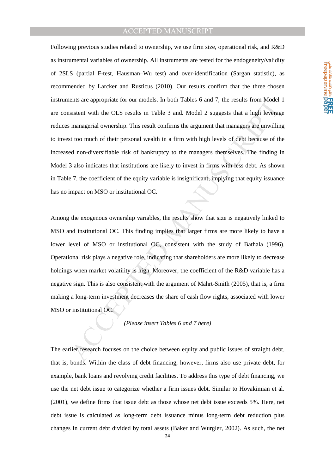Following previous studies related to ownership, we use firm size, operational risk, and R&D as instrumental variables of ownership. All instruments are tested for the endogeneity/validity of 2SLS (partial F-test, Hausman–Wu test) and over-identification (Sargan statistic), as recommended by Larcker and Rusticus (2010). Our results confirm that the three chosen instruments are appropriate for our models. In both Tables 6 and 7, the results from Model 1 are consistent with the OLS results in Table 3 and. Model 2 suggests that a high leverage reduces managerial ownership. This result confirms the argument that managers are unwilling to invest too much of their personal wealth in a firm with high levels of debt because of the increased non-diversifiable risk of bankruptcy to the managers themselves. The finding in Model 3 also indicates that institutions are likely to invest in firms with less debt. As shown in Table 7, the coefficient of the equity variable is insignificant, implying that equity issuance has no impact on MSO or institutional OC.

ents are appropriate for our models. In both Tables 6 and 7, the results from Model<br>sistent with the OLS results in Table 3 and. Model 2 suggests that a high leverage<br>managerial ownership. This result confirms the argument Among the exogenous ownership variables, the results show that size is negatively linked to MSO and institutional OC. This finding implies that larger firms are more likely to have a lower level of MSO or institutional OC, consistent with the study of Bathala (1996). Operational risk plays a negative role, indicating that shareholders are more likely to decrease holdings when market volatility is high. Moreover, the coefficient of the R&D variable has a negative sign. This is also consistent with the argument of Mahrt-Smith (2005), that is, a firm making a long-term investment decreases the share of cash flow rights, associated with lower MSO or institutional OC.

#### *(Please insert Tables 6 and 7 here)*

The earlier research focuses on the choice between equity and public issues of straight debt, that is, bonds. Within the class of debt financing, however, firms also use private debt, for example, bank loans and revolving credit facilities. To address this type of debt financing, we use the net debt issue to categorize whether a firm issues debt. Similar to Hovakimian et al. (2001), we define firms that issue debt as those whose net debt issue exceeds 5%. Here, net debt issue is calculated as long-term debt issuance minus long-term debt reduction plus changes in current debt divided by total assets (Baker and Wurgler, 2002). As such, the net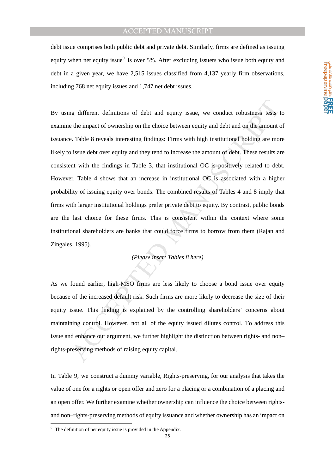debt issue comprises both public debt and private debt. Similarly, firms are defined as issuing equity when net equity issue $\degree$  is over 5%. After excluding issuers who issue both equity and debt in a given year, we have 2,515 issues classified from 4,137 yearly firm observations, including 768 net equity issues and 1,747 net debt issues.

and different definitions of debt and equity issue, we conduct robustness tests to the impact of ownership on the choice between equity and debt and on the amount c. Table 8 reveals interesting findings: Firms with high in By using different definitions of debt and equity issue, we conduct robustness tests to examine the impact of ownership on the choice between equity and debt and on the amount of issuance. Table 8 reveals interesting findings: Firms with high institutional holding are more likely to issue debt over equity and they tend to increase the amount of debt. These results are consistent with the findings in Table 3, that institutional OC is positively related to debt. However, Table 4 shows that an increase in institutional OC is associated with a higher probability of issuing equity over bonds. The combined results of Tables 4 and 8 imply that firms with larger institutional holdings prefer private debt to equity. By contrast, public bonds are the last choice for these firms. This is consistent within the context where some institutional shareholders are banks that could force firms to borrow from them (Rajan and Zingales, 1995).

# *(Please insert Tables 8 here)*

As we found earlier, high-MSO firms are less likely to choose a bond issue over equity because of the increased default risk. Such firms are more likely to decrease the size of their equity issue. This finding is explained by the controlling shareholders' concerns about maintaining control. However, not all of the equity issued dilutes control. To address this issue and enhance our argument, we further highlight the distinction between rights- and non– rights-preserving methods of raising equity capital.

In Table 9, we construct a dummy variable, Rights-preserving, for our analysis that takes the value of one for a rights or open offer and zero for a placing or a combination of a placing and an open offer. We further examine whether ownership can influence the choice between rightsand non–rights-preserving methods of equity issuance and whether ownership has an impact on

<sup>&</sup>lt;sup>9</sup> The definition of net equity issue is provided in the Appendix.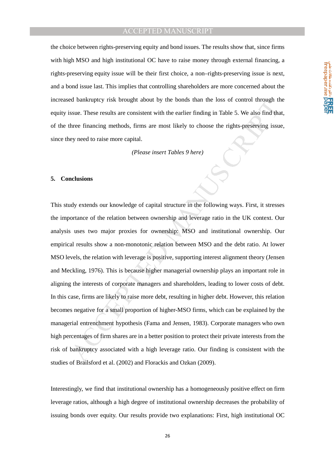the choice between rights-preserving equity and bond issues. The results show that, since firms with high MSO and high institutional OC have to raise money through external financing, a rights-preserving equity issue will be their first choice, a non–rights-preserving issue is next, and a bond issue last. This implies that controlling shareholders are more concerned about the increased bankruptcy risk brought about by the bonds than the loss of control through the equity issue. These results are consistent with the earlier finding in Table 5. We also find that, of the three financing methods, firms are most likely to choose the rights-preserving issue, since they need to raise more capital.

*(Please insert Tables 9 here)* 

#### **5. Conclusions**

Example of the matter and the loss of control through the state. These results are consistent with the earlier finding in Table 5. We also find that<br>the financing methods, firms are most likely to choose the rights-preserv This study extends our knowledge of capital structure in the following ways. First, it stresses the importance of the relation between ownership and leverage ratio in the UK context. Our analysis uses two major proxies for ownership: MSO and institutional ownership. Our empirical results show a non-monotonic relation between MSO and the debt ratio. At lower MSO levels, the relation with leverage is positive, supporting interest alignment theory (Jensen and Meckling, 1976). This is because higher managerial ownership plays an important role in aligning the interests of corporate managers and shareholders, leading to lower costs of debt. In this case, firms are likely to raise more debt, resulting in higher debt. However, this relation becomes negative for a small proportion of higher-MSO firms, which can be explained by the managerial entrenchment hypothesis (Fama and Jensen, 1983). Corporate managers who own high percentages of firm shares are in a better position to protect their private interests from the risk of bankruptcy associated with a high leverage ratio. Our finding is consistent with the studies of Brailsford et al. (2002) and Florackis and Ozkan (2009).

Interestingly, we find that institutional ownership has a homogeneously positive effect on firm leverage ratios, although a high degree of institutional ownership decreases the probability of issuing bonds over equity. Our results provide two explanations: First, high institutional OC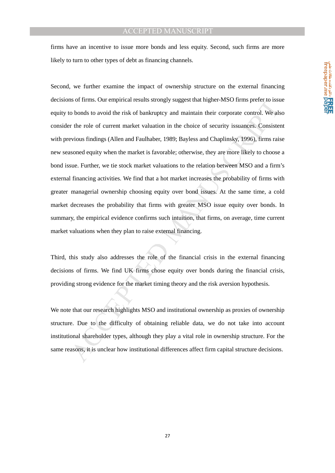firms have an incentive to issue more bonds and less equity. Second, such firms are more likely to turn to other types of debt as financing channels.

is of tims. Our empirical results strongly suggest that higher-MSO tims preter to issue<br>o bonds to avoid the risk of bankruptcy and maintain their corporate control. We alse<br>the role of current market valuation in the choi Second, we further examine the impact of ownership structure on the external financing decisions of firms. Our empirical results strongly suggest that higher-MSO firms prefer to issue equity to bonds to avoid the risk of bankruptcy and maintain their corporate control. We also consider the role of current market valuation in the choice of security issuances. Consistent with previous findings (Allen and Faulhaber, 1989; Bayless and Chaplinsky, 1996), firms raise new seasoned equity when the market is favorable; otherwise, they are more likely to choose a bond issue. Further, we tie stock market valuations to the relation between MSO and a firm's external financing activities. We find that a hot market increases the probability of firms with greater managerial ownership choosing equity over bond issues. At the same time, a cold market decreases the probability that firms with greater MSO issue equity over bonds. In summary, the empirical evidence confirms such intuition, that firms, on average, time current market valuations when they plan to raise external financing.

Third, this study also addresses the role of the financial crisis in the external financing decisions of firms. We find UK firms chose equity over bonds during the financial crisis, providing strong evidence for the market timing theory and the risk aversion hypothesis.

We note that our research highlights MSO and institutional ownership as proxies of ownership structure. Due to the difficulty of obtaining reliable data, we do not take into account institutional shareholder types, although they play a vital role in ownership structure. For the same reasons, it is unclear how institutional differences affect firm capital structure decisions.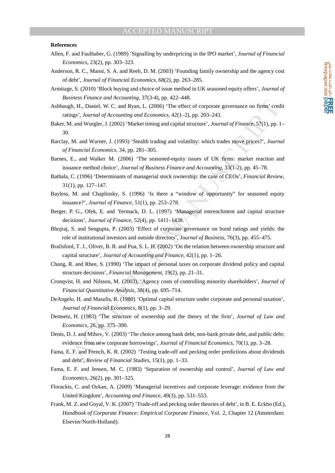#### **References**

- Allen, F. and Faulhaber, G. (1989) 'Signalling by underpricing in the IPO market', *Journal of Financial Economics,* 23(2), pp. 303–323.
- Anderson, R. C., Mansi, S. A. and Reeb, D. M. (2003) 'Founding family ownership and the agency cost of debt', *Journal of Financial Economics,* 68(2), pp. 263–285.
- Armitage, S. (2010) 'Block buying and choice of issue method in UK seasoned equity offers', *Journal of Business Finance and Accounting,* 37(3-4), pp. 422–448.
- Ashbaugh, H., Daniel, W. C. and Ryan, L. (2006) 'The effect of corporate governance on firms' credit ratings', *Journal of Accounting and Economics*, 42(1–2), pp. 203–243.
- *MARA Tunnel and ACCERTIFY* (1993) The state of composite governance on firms, creately, *Journal of Ferenomics*,  $A(1, -2)$ , pp. 203-243.<br>
And Wurgler, J. (2002) "Market timing and capital structure", *Journal of Finances* Baker, M. and Wurgler, J. (2002) 'Market timing and capital structure', *Journal of Finance*, 57(1), pp. 1– 30.
- Barclay, M. and Warner, J. (1993) 'Stealth trading and volatility: which trades move prices?', *Journal of Financial Economics*, 34, pp. 281–305.
- Barnes, E., and Walker M. (2006) 'The seasoned-equity issues of UK firms: market reaction and issuance method choice', *Journal of Business Finance and Accounting,* 33(1-2), pp. 45–78.
- Bathala, C. (1996) 'Determinants of managerial stock ownership: the case of CEOs', *Financial Review*, 31(1), pp. 127–147.
- Bayless, M. and Chaplinsky, S. (1996) 'Is there a "window of opportunity" for seasoned equity issuance?', *Journal of Finance*, 51(1), pp. 253–278.
- Berger, P. G., Ofek, E. and Yermack, D. L. (1997) 'Managerial entrenchment and capital structure decisions', *Journal of Finance*, 52(4), pp. 1411–1438.
- Bhojraj, S. and Sengupta, P. (2003) 'Effect of corporate governance on bond ratings and yields: the role of institutional investors and outside directors', *Journal of Business,* 76(3), pp. 455–475.
- Brailsford, T. J., Oliver, B. R. and Pua, S. L. H. (2002) 'On the relation between ownership structure and capital structure', *Journal of Accounting and Finance,* 42(1), pp. 1–26.
- Chang, R. and Rhee, S. (1990) 'The impact of personal taxes on corporate dividend policy and capital structure decisions', *Financial Management*, 19(2), pp. 21–31.
- Cronqvist, H. and Nilsson, M. (2003), 'Agency costs of controlling minority shareholders', *Journal of Financial Quantitative Analysis,* 38(4), pp. 695–714.
- DeAngelo, H. and Masulis, R. (1980) 'Optimal capital structure under corporate and personal taxation', *Journal of Financial Economics,* 8(1), pp. 3–29.
- Demsetz, H. (1983) 'The structure of ownership and the theory of the firm', *Journal of Law and Economics*, 26, pp. 375–390.
- Denis, D. J. and Mihov, V. (2003) 'The choice among bank debt, non-bank private debt, and public debt: evidence from new corporate borrowings', *Journal of Financial Economics,* 70(1), pp. 3–28.
- Fama, E. F. and French, K. R. (2002) 'Testing trade-off and pecking order predictions about dividends and debt', *Review of Financial Studies,* 15(1), pp. 1–33.
- Fama, E. F. and Jensen, M. C. (1983) 'Separation of ownership and control', *Journal of Law and Economics,* 26(2), pp. 301–325.
- Florackis, C. and Ozkan, A. (2009) 'Managerial incentives and corporate leverage: evidence from the United Kingdom', *Accounting and Finance*, 49(3), pp. 531–553.
- Frank, M. Z. and Goyal, V. K. (2007) 'Trade-off and pecking order theories of debt', in B. E. Eckbo (Ed.), *Handbook of Corporate Finance: Empirical Corporate Finance*, Vol. 2, Chapter 12 (Amsterdam: Elsevier/North-Holland).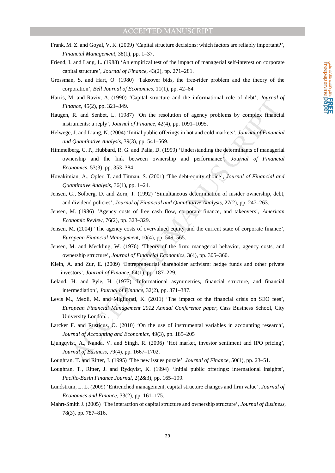- Frank, M. Z. and Goyal, V. K. (2009) 'Capital structure decisions: which factors are reliably important?', *Financial Management*, 38(1), pp. 1–37.
- Friend, I. and Lang, L. (1988) 'An empirical test of the impact of managerial self-interest on corporate capital structure', *Journal of Finance,* 43(2), pp. 271–281.
- Grossman, S. and Hart, O. (1980) 'Takeover bids, the free-rider problem and the theory of the corporation', *Bell Journal of Economics,* 11(1), pp. 42–64.
- Harris, M. and Raviv, A. (1990) 'Capital structure and the informational role of debt', *Journal of Finance,* 45(2), pp. 321–349.
- Haugen, R. and Senbet, L. (1987) 'On the resolution of agency problems by complex financial instruments: a reply', *Journal of Finance*, 42(4), pp. 1091–1095.
- Helwege, J. and Liang, N. (2004) 'Initial public offerings in hot and cold markets', *Journal of Financial and Quantitative Analysis*, 39(3), pp. 541–569.
- Himmelberg, C. P., Hubbard, R. G. and Palia, D. (1999) 'Understanding the determinants of managerial ownership and the link between ownership and performance', *Journal of Financial Economics*, 53(3), pp. 353–384.
- Hovakimian, A., Opler, T. and Titman, S. (2001) 'The debt-equity choice', *Journal of Financial and Quantitative Analysis*, 36(1), pp. 1–24.
- Jensen, G., Solberg, D. and Zorn, T. (1992) 'Simultaneous determination of insider ownership, debt, and dividend policies', *Journal of Financial and Quantitative Analysis*, 27(2), pp. 247–263.
- Jensen, M. (1986) 'Agency costs of free cash flow, corporate finance, and takeovers', *American Economic Review*, 76(2), pp. 323–329.
- Jensen, M. (2004) 'The agency costs of overvalued equity and the current state of corporate finance', *European Financial Managemen*t, 10(4), pp. 549–565.
- Jensen, M. and Meckling, W. (1976) 'Theory of the firm: managerial behavior, agency costs, and ownership structure', *Journal of Financial Economics*, 3(4), pp. 305–360.
- Klein, A. and Zur, E. (2009) 'Entrepreneurial shareholder activism: hedge funds and other private investors', *Journal of Finance*, 64(1), pp. 187–229.
- Leland, H. and Pyle, H. (1977) 'Informational asymmetries, financial structure, and financial intermediation', *Journal of Finance*, 32(2), pp. 371–387.
- Frame Transfer (1997), Journal of Finance and the Distribution of the Society of the Society of the standard method of the resolution of agency problems by complex financial metroments: a reply, Journal of Finance, 42(3), Levis M., Meoli, M. and Migliorati, K. (2011) 'The impact of the financial crisis on SEO fees', *European Financial Management 2012 Annual Conference paper*, Cass Business School, City University London. .
- Larcker F. and Rusticus, O. (2010) 'On the use of instrumental variables in accounting research', *Journal of Accounting and Economics*, 49(3), pp. 185–205
- Ljungqvist, A., Nanda, V. and Singh, R. (2006) 'Hot market, investor sentiment and IPO pricing', *Journal of Business*, 79(4), pp. 1667–1702.
- Loughran, T. and Ritter, J. (1995) 'The new issues puzzle', *Journal of Finance*, 50(1), pp. 23–51.
- Loughran, T., Ritter, J. and Rydqvist, K. (1994) 'Initial public offerings: international insights', *Pacific-Basin Finance Journal*, 2(2&3), pp. 165–199.
- Lundstrum, L. L. (2009) 'Entrenched management, capital structure changes and firm value', *Journal of Economics and Finance,* 33(2), pp. 161–175.
- Mahrt-Smith J. (2005) 'The interaction of capital structure and ownership structure', *Journal of Business*, 78(3), pp. 787–816.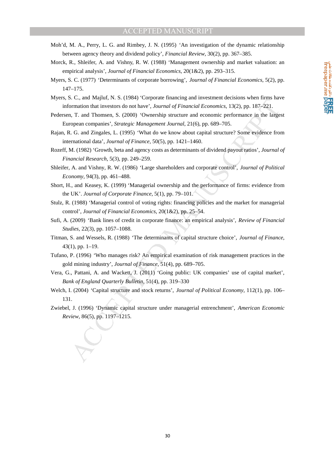- Moh'd, M. A., Perry, L. G. and Rimbey, J. N. (1995) 'An investigation of the dynamic relationship between agency theory and dividend policy', *Financial Review,* 30(2), pp. 367–385.
- Morck, R., Shleifer, A. and Vishny, R. W. (1988) 'Management ownership and market valuation: an empirical analysis', *Journal of Financial Economics*, 20(1&2), pp. 293–315.
- Myers, S. C. (1977) 'Determinants of corporate borrowing', *Journal of Financial Economics*, 5(2), pp. 147–175.
- Myers, S. C., and Majluf, N. S. (1984) 'Corporate financing and investment decisions when firms have information that investors do not have', *Journal of Financial Economics*, 13(2), pp. 187–221.
- Pedersen, T. and Thomsen, S. (2000) 'Ownership structure and economic performance in the largest European companies', *Strategic Management Journal*, 21(6), pp. 689–705.
- Rajan, R. G. and Zingales, L. (1995) 'What do we know about capital structure? Some evidence from international data', *Journal of Finance,* 50(5), pp. 1421–1460.
- Rozeff, M. (1982) 'Growth, beta and agency costs as determinants of dividend payout ratios', *Journal of Financial Research,* 5(3), pp. 249–259.
- Shleifer, A. and Vishny, R. W. (1986) 'Large shareholders and corporate control', *Journal of Political Economy,* 94(3), pp. 461–488.
- Short, H., and Keasey, K. (1999) 'Managerial ownership and the performance of firms: evidence from the UK'. *Journal of Corporate Finance*, 5(1), pp. 79–101.
- Stulz, R. (1988) 'Managerial control of voting rights: financing policies and the market for managerial control', *Journal of Financial Economics,* 20(1&2), pp. 25–54.
- Sufi, A. (2009) 'Bank lines of credit in corporate finance: an empirical analysis', *Review of Financial Studies,* 22(3), pp. 1057–1088.
- Titman, S. and Wessels, R. (1988) 'The determinants of capital structure choice', *Journal of Finance*, 43(1), pp. 1–19.
- Tufano, P. (1996) 'Who manages risk? An empirical examination of risk management practices in the gold mining industry', *Journal of Finance,* 51(4), pp. 689–705.
- Vera, G., Pattani, A. and Wackett, J. (2011) 'Going public: UK companies' use of capital market', *Bank of England Quarterly Bulletin*, 51(4), pp. 319–330
- Welch, I. (2004) 'Capital structure and stock returns', *Journal of Political Economy,* 112(1), pp. 106– 131.
- b. e., and many track (2009) (Sometic manne, and when the conomics, 13(2), pp. 187-221.<br>
T. and Thomsen, S. (2000) 'Ownership structure and economic performance in the large<br>
organic contrainers', Strategic Management Jou Zwiebel, J. (1996) 'Dynamic capital structure under managerial entrenchment', *American Economic Review*, 86(5), pp. 1197–1215.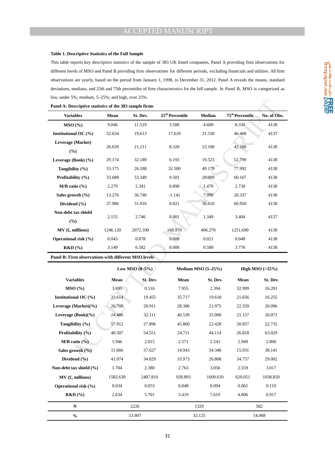#### **Table 1. Descriptive Statistics of the Full Sample**

This table reports key descriptive statistics of the sample of 383 UK listed companies, Panel A providing firm observations for different levels of MSO and Panel B providing firm observations for different periods, excluding financials and utilities. All firm observations are yearly, based on the period from January 1, 1998, to December 31, 2012. Panel A reveals the means, standard deviations, medians, and 25th and 75th percentiles of firm characteristics for the full sample. In Panel B, MSO is categorized as low, under 5%; medium, 5–25%; and high, over 25%.

| Panel A: Descriptive statistics of the 383 sample firms |          |                   |                             |                      |                             |                    |
|---------------------------------------------------------|----------|-------------------|-----------------------------|----------------------|-----------------------------|--------------------|
| <b>Variables</b>                                        | Mean     | St. Dev.          | 25 <sup>th</sup> Percentile | <b>Median</b>        | 75 <sup>th</sup> Percentile | No. of Obs.        |
| MSO(%)                                                  | 9.046    | 11.519            | 3.500                       | 4.600                | 8.330                       | 4138               |
| Institutional OC (%)                                    | 32.634   | 19.613            | 17.610                      | 31.530               | 46.400                      | 4137               |
| Leverage (Market)<br>(%)                                | 26.639   | 21.211            | 8.320                       | 23.100               | 42.180                      | 4138               |
| Leverage $(Book)$ $(\frac{9}{6})$                       | 29.174   | 32.189            | 6.193                       | 19.523               | 52.799                      | 4138               |
| Tangibility $(\% )$                                     | 53.175   | 26.188            | 32.500                      | 49.179               | 77.992                      | 4138               |
| Profitability (%)                                       | 33.688   | 53.349            | 9.501                       | 20.009               | 60.167                      | 4138               |
| $M/B$ ratio $(\% )$                                     | 2.279    | 2.341             | 0.890                       | 1.470                | 2.730                       | 4138               |
| Sales growth $(\% )$                                    | 13.276   | 36.740            | $-1.141$                    | 7.990                | 20.337                      | 4138               |
| Dividend $(\% )$                                        | 37.986   | 31.916            | 0.021                       | 36.610               | 60.950                      | 4138               |
| Non-debt tax shield<br>(%)                              | 2.155    | 2.746             | 0.001                       | 1.349                | 3.404                       | 4137               |
| MV (£, millions)                                        | 1246.120 | 2072.100          | 168.970                     | 406.270              | 1251.690                    | 4138               |
| Operational risk (%)                                    | 0.043    | 0.078             | 0.008                       | 0.021                | 0.048                       | 4138               |
| R&D(%)                                                  | 3.149    | 6.582             | 0.000                       | 0.580                | 3.770                       | 4138               |
| Panel B: Firm observations with different MSO levels    |          |                   |                             |                      |                             |                    |
|                                                         |          | Low MSO $(0-5\%)$ |                             | Medium MSO $(5-25%)$ |                             | High MSO $(>25\%)$ |
| <b>Variables</b>                                        | Mean     | St. Dev.          | Mean                        | St. Dev.             | Mean                        | St. Dev.           |
| MSO(%)                                                  | 3.695    | 0.516             | 7.955                       | 2.394                | 32.999                      | 16.201             |
| Institutional OC $(\% )$                                | 33.614   | 19.455            | 35.717                      | 19.618               | 21.656                      | 16.255             |
| Leverage $(Market)(\%)$                                 | 26.708   | 20.911            | 28.306                      | 21.975               | 22.559                      | 20.096             |
| Leverage $(Book)(\%)$                                   | 24.486   | 32.111            | 40.539                      | 35.000               | 21.157                      | 26.071             |
| Tangibility (%)                                         | 57.912   | 27.896            | 45.860                      | 22.428               | 50.857                      | 22.735             |
| Profitability (%)                                       | 40.507   | 54.551            | 24.711                      | 44.114               | 26.818                      | 63.029             |
| $M/B$ ratio $(\frac{9}{6})$                             | 1.946    | 2.015             | 2.571                       | 2.543                | 2.949                       | 2.806              |
| Sales growth (%)                                        | 11.666   | 37.627            | 14.943                      | 34.346               | 15.931                      | 38.141             |
| Dividend (%)                                            | 41.074   | 34.829            | 33.973                      | 26.808               | 34.757                      | 29.002             |

| Panel A: Descriptive statistics of the 383 sample firms |  |  |
|---------------------------------------------------------|--|--|
|---------------------------------------------------------|--|--|

|                             |          | Low MSO $(0-5\%)$ |         | Medium MSO $(5-25%)$ |         | High MSO $(>25\%)$ |
|-----------------------------|----------|-------------------|---------|----------------------|---------|--------------------|
| <b>Variables</b>            | Mean     | St. Dev.          | Mean    | St. Dev.             | Mean    | St. Dev.           |
| MSO(%)                      | 3.695    | 0.516             | 7.955   | 2.394                | 32.999  | 16.201             |
| Institutional OC $(\% )$    | 33.614   | 19.455            | 35.717  | 19.618               | 21.656  | 16.255             |
| Leverage $(Market)(\%)$     | 26.708   | 20.911            | 28.306  | 21.975               | 22.559  | 20.096             |
| Leverage $(Book)(\%)$       | 24.486   | 32.111            | 40.539  | 35.000               | 21.157  | 26.071             |
| Tangibility $(\% )$         | 57.912   | 27.896            | 45.860  | 22.428               | 50.857  | 22.735             |
| Profitability $(\% )$       | 40.507   | 54.551            | 24.711  | 44.114               | 26.818  | 63.029             |
| $M/B$ ratio $(\% )$         | 1.946    | 2.015             | 2.571   | 2.543                | 2.949   | 2.806              |
| Sales growth $(\% )$        | 11.666   | 37.627            | 14.943  | 34.346               | 15.931  | 38.141             |
| Dividend $(\% )$            | 41.074   | 34.829            | 33.973  | 26.808               | 34.757  | 29.002             |
| Non-debt tax shield (%)     | 1.704    | 2.380             | 2.763   | 3.056                | 2.559   | 3.017              |
| $MV$ (£, millions)          | 1582.630 | 2407.810          | 928.893 | 1609.610             | 620.051 | 1038.850           |
| <b>Operational risk (%)</b> | 0.034    | 0.053             | 0.048   | 0.094                | 0.065   | 0.110              |
| R&D(%)                      | 2.634    | 5.701             | 3.419   | 7.619                | 4.806   | 6.917              |
| $\mathbf N$                 |          | 2226              |         | 1329                 |         | 582                |
| $\frac{0}{0}$               |          | 53.807            |         | 32.125               |         | 14.068             |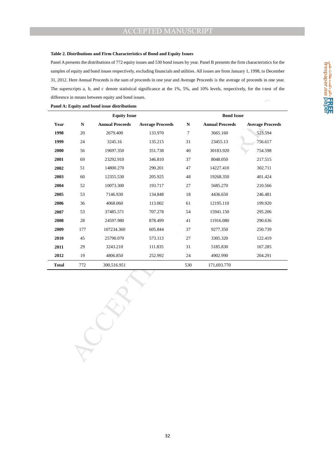MANUSCRIPT

Panel A presents the distributions of 772 equity issues and 530 bond issues by year. Panel B presents the firm characteristics for the samples of equity and bond issues respectively, excluding financials and utilities. All issues are from January 1, 1998, to December 31, 2012. Here Annual Proceeds is the sum of proceeds in one year and Average Proceeds is the average of proceeds in one year. The superscripts a, b, and c denote statistical significance at the 1%, 5%, and 10% levels, respectively, for the *t*-test of the difference in means between equity and bond issues.

|              |             | <b>Equity Issue</b>    |                         |           | <b>Bond Issue</b>      |                         |
|--------------|-------------|------------------------|-------------------------|-----------|------------------------|-------------------------|
| Year         | $\mathbf N$ | <b>Annual Proceeds</b> | <b>Average Proceeds</b> | ${\bf N}$ | <b>Annual Proceeds</b> | <b>Average Proceeds</b> |
| 1998         | 20          | 2679.400               | 133.970                 | $\tau$    | 3665.160               | 523.594                 |
| 1999         | 24          | 3245.16                | 135.215                 | 31        | 23455.13               | 756.617                 |
| 2000         | 56          | 19697.350              | 351.738                 | 40        | 30183.920              | 754.598                 |
| 2001         | 69          | 23292.910              | 346.810                 | 37        | 8048.050               | 217.515                 |
| 2002         | 51          | 14800.270              | 290.201                 | 47        | 14227.410              | 302.711                 |
| 2003         | 60          | 12355.530              | 205.925                 | 48        | 19268.350              | 401.424                 |
| 2004         | 52          | 10073.300              | 193.717                 | 27        | 5685.270               | 210.566                 |
| 2005         | 53          | 7146.930               | 134.848                 | 18        | 4436.650               | 246.481                 |
| 2006         | 36          | 4068.060               | 113.002                 | 61        | 12195.110              | 199.920                 |
| 2007         | 53          | 37485.571              | 707.278                 | 54        | 15941.150              | 295.206                 |
| 2008         | 28          | 24597.980              | 878.499                 | 41        | 11916.080              | 290.636                 |
| 2009         | 177         | 107234.360             | 605.844                 | 37        | 9277.350               | 250.739                 |
| 2010         | 45          | 25790.070              | 573.113                 | 27        | 3305.320               | 122.419                 |
| 2011         | 29          | 3243.210               | 111.835                 | 31        | 5185.830               | 167.285                 |
| 2012         | 19          | 4806.850               | 252.992                 | 24        | 4902.990               | 204.291                 |
| <b>Total</b> | 772         | 300,516.951            |                         | 530       | 171,693.770            |                         |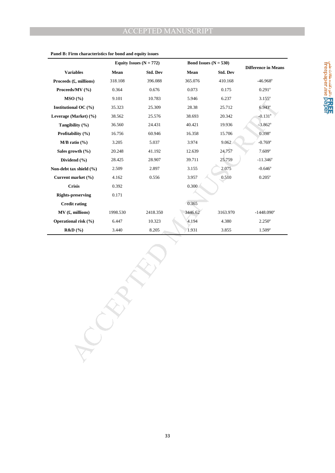|                                 |          | Equity Issues $(N = 772)$ | Bond Issues $(N = 530)$ |                 | <b>Difference in Means</b> |
|---------------------------------|----------|---------------------------|-------------------------|-----------------|----------------------------|
| <b>Variables</b>                | Mean     | <b>Std. Dev</b>           | Mean                    | <b>Std. Dev</b> |                            |
| Proceeds $(f, \text{millions})$ | 318.108  | 396.088                   | 365.076                 | 410.168         | $-46.968$ <sup>a</sup>     |
| Proceeds/MV (%)                 | 0.364    | 0.676                     | 0.073                   | 0.175           | $0.291$ <sup>a</sup>       |
| MSO(%)                          | 9.101    | 10.783                    | 5.946                   | 6.237           | $3.155^a$                  |
| Institutional OC (%)            | 35.323   | 25.309                    | 28.38                   | 25.712          | $6.943^{\circ}$            |
| Leverage (Market) (%)           | 38.562   | 25.576                    | 38.693                  | 20.342          | $-0.131$ <sup>a</sup>      |
| Tangibility $(\% )$             | 36.560   | 24.431                    | 40.421                  | 19.936          | $-3.862$ <sup>a</sup>      |
| Profitability (%)               | 16.756   | 60.946                    | 16.358                  | 15.706          | $0.398^{a}$                |
| $M/B$ ratio $(\% )$             | 3.205    | 5.037                     | 3.974                   | 9.062           | $-0.769$ <sup>a</sup>      |
| Sales growth $(\% )$            | 20.248   | 41.192                    | 12.639                  | 24.757          | $7.609$ <sup>a</sup>       |
| Dividend (%)                    | 28.425   | 28.907                    | 39.711                  | 25.759          | $-11.346^a$                |
| Non-debt tax shield $(\% )$     | 2.509    | 2.897                     | 3.155                   | 2.075           | $-0.646^{\circ}$           |
| Current market (%)              | 4.162    | 0.556                     | 3.957                   | 0.510           | $0.205^{\text{a}}$         |
| <b>Crisis</b>                   | 0.392    |                           | 0.300                   |                 |                            |
| <b>Rights-preserving</b>        | 0.171    |                           |                         |                 |                            |
| <b>Credit rating</b>            |          |                           | 0.365                   |                 |                            |
| MV(f, millions)                 | 1998.530 | 2418.350                  | 3446.62                 | 3163.970        | $-1448.090$ <sup>a</sup>   |
| Operational risk (%)            | 6.447    | 10.323                    | 4.194                   | 4.380           | $2.250^{\rm a}$            |
| R&D(%)                          | 3.440    | 8.205                     | 1.931                   | 3.855           | $1.509^{a}$                |

#### **Panel B: Firm characteristics for bond and equity issues**

**MANUSCRIPT**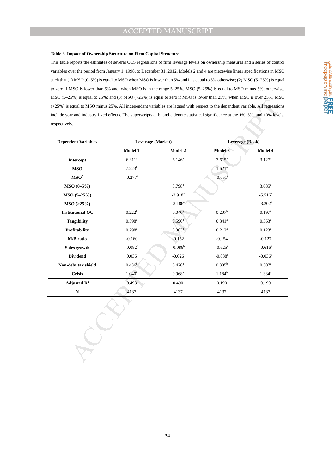#### **Table 3. Impact of Ownership Structure on Firm Capital Structure**

This table reports the estimates of several OLS regressions of firm leverage levels on ownership measures and a series of control variables over the period from January 1, 1998, to December 31, 2012. Models 2 and 4 are piecewise linear specifications in MSO such that (1) MSO (0-5%) is equal to MSO when MSO is lower than 5% and it is equal to 5% otherwise; (2) MSO (5-25%) is equal to zero if MSO is lower than 5% and, when MSO is in the range 5–25%, MSO (5–25%) is equal to MSO minus 5%; otherwise, MSO (5–25%) is equal to 25%; and (3) MSO (>25%) is equal to zero if MSO is lower than 25%; when MSO is over 25%, MSO (>25%) is equal to MSO minus 25%. All independent variables are lagged with respect to the dependent variable. All regressions include year and industry fixed effects. The superscripts a, b, and c denote statistical significance at the 1%, 5%, and 10% levels, respectively.

| <b>Dependent Variables</b> | Leverage (Market)     |                       | <b>Leverage (Book)</b> |                       |
|----------------------------|-----------------------|-----------------------|------------------------|-----------------------|
|                            | Model 1               | Model 2               | Model 3                | Model 4               |
| Intercept                  | $6.311^{a}$           | $6.146^{\rm a}$       | $3.615^a$              | $3.127^{\rm a}$       |
| <b>MSO</b>                 | $7.223^b$             |                       | 1.621 <sup>a</sup>     |                       |
| MSO <sup>2</sup>           | $-0.277$ <sup>a</sup> |                       | $-0.051$ <sup>a</sup>  |                       |
| $MSO(0-5%)$                |                       | $3.798^{a}$           |                        | $3.685^{\rm a}$       |
| MSO (5-25%)                |                       | $-2.918^a$            |                        | $-5.516^a$            |
| MSO (>25%)                 |                       | $-3.186^a$            |                        | $-3.202$ <sup>a</sup> |
| <b>Institutional OC</b>    | $0.222^{\rm b}$       | $0.040$ <sup>a</sup>  | $0.207^{\rm b}$        | $0.197^{\rm a}$       |
| <b>Tangibility</b>         | $0.598^{\rm a}$       | $0.590^{\rm a}$       | $0.341^{\rm a}$        | $0.363^{\rm a}$       |
| Profitability              | $0.298^{\rm a}$       | $0.303^{a}$           | $0.212^{\rm a}$        | $0.123^{\rm a}$       |
| M/B ratio                  | $-0.160$              | $-0.152$              | $-0.154$               | $-0.127$              |
| Sales growth               | $-0.082^b$            | $-0.086^{\rm b}$      | $-0.625^{\rm a}$       | $-0.616^a$            |
| <b>Dividend</b>            | 0.036                 | $-0.026$              | $-0.038$ <sup>c</sup>  | $-0.036$ <sup>c</sup> |
| Non-debt tax shield        | $0.436^{\rm b}$       | $0.420^{\rm a}$       | $0.305^{\rm b}$        | $0.307^{\rm a}$       |
| <b>Crisis</b>              | $1.040^{b}$           | $0.968$ $\mathrm{^a}$ | $1.184^{b}$            | $1.334^{a}$           |
| Adjusted $\mathbb{R}^2$    | 0.493                 | 0.490                 | 0.190                  | 0.190                 |
| ${\bf N}$                  | 4137                  | 4137                  | 4137                   | 4137                  |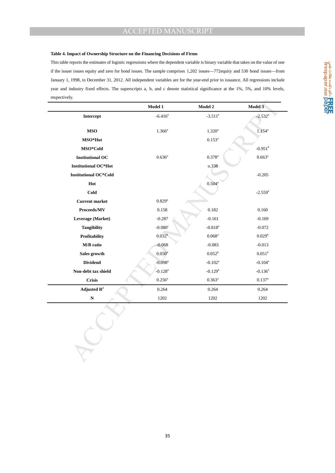#### **Table 4. Impact of Ownership Structure on the Financing Decisions of Firms**

This table reports the estimates of logistic regressions where the dependent variable is binary variable that takes on the value of one if the issuer issues equity and zero for bond issues. The sample comprises 1,202 issues—772equity and 530 bond issues—from January 1, 1998, to December 31, 2012. All independent variables are for the year-end prior to issuance. All regressions include year and industry fixed effects. The superscripts a, b, and c denote statistical significance at the 1%, 5%, and 10% levels, respectively.

|                                            | Model 1               | Model 2               | Model 3               |
|--------------------------------------------|-----------------------|-----------------------|-----------------------|
| Intercept                                  | $-6.416^a$            | $-3.511$ <sup>a</sup> | $-2.532^a$            |
| <b>MSO</b>                                 | $1.366^a$             | $1.320^{\rm a}$       | $1.154^{a}$           |
| $\ensuremath{\mathbf{MSO^*} \mathbf{Hot}}$ |                       | $0.153^{\rm a}$       |                       |
| MSO*Cold                                   |                       |                       | $-0.951$ <sup>b</sup> |
| <b>Institutional OC</b>                    | $0.636^{a}$           | $0.378^{\rm a}$       | $0.663^{\rm a}$       |
| <b>Institutional OC*Hot</b>                |                       | 0.338                 |                       |
| <b>Institutional OC*Cold</b>               |                       |                       | $-0.205$              |
| Hot                                        |                       | $0.504^{\rm a}$       |                       |
| $\mathbf{Cold}$                            |                       |                       | $-2.559^{a}$          |
| <b>Current market</b>                      | $0.829$ <sup>a</sup>  |                       |                       |
| Proceeds/MV                                | 0.158                 | 0.182                 | 0.160                 |
| Leverage (Market)                          | $-0.287$              | $-0.161$              | $-0.169$              |
| <b>Tangibility</b>                         | $-0.080$ <sup>c</sup> | $-0.818^a$            | $-0.072$              |
| Profitability                              | 0.032 <sup>b</sup>    | $0.068$ $\mathrm{^a}$ | 0.029 <sup>b</sup>    |
| M/B ratio                                  | $-0.068$              | $-0.083$              | $-0.013$              |
| Sales growth                               | 0.050 <sup>b</sup>    | $0.052^{\rm b}$       | $0.051^{\rm b}$       |
| <b>Dividend</b>                            | $-0.098$ <sup>a</sup> | $-0.102\mathrm{^a}$   | $-0.104^a$            |
| Non-debt tax shield                        | $-0.128$ <sup>a</sup> | $-0.129$ <sup>a</sup> | $-0.136^a$            |
| <b>Crisis</b>                              | $0.256^{\rm a}$       | $0.363^{\rm a}$       | $0.137^{\rm a}$       |
| Adjusted $\mathbf{R}^2$                    | 0.264                 | 0.264                 | 0.264                 |
| ${\bf N}$                                  | 1202                  | 1202                  | 1202                  |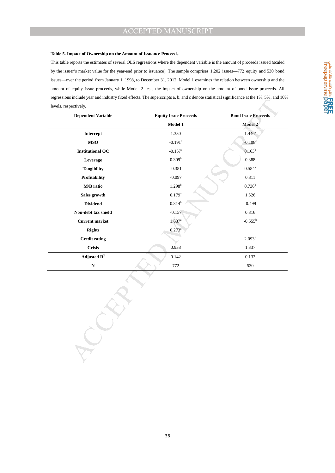#### **Table 5. Impact of Ownership on the Amount of Issuance Proceeds**

This table reports the estimates of several OLS regressions where the dependent variable is the amount of proceeds issued (scaled by the issuer's market value for the year-end prior to issuance). The sample comprises 1,202 issues—772 equity and 530 bond issues—over the period from January 1, 1998, to December 31, 2012. Model 1 examines the relation between ownership and the amount of equity issue proceeds, while Model 2 tests the impact of ownership on the amount of bond issue proceeds. All regressions include year and industry fixed effects. The superscripts a, b, and c denote statistical significance at the 1%, 5%, and 10% levels, respectively.

| levels, respectively.          |                              |                            |
|--------------------------------|------------------------------|----------------------------|
| <b>Dependent Variable</b>      | <b>Equity Issue Proceeds</b> | <b>Bond Issue Proceeds</b> |
|                                | Model 1                      | Model 2                    |
| Intercept                      | 1.330                        | $1.446^{\circ}$            |
| $\bf{MSO}$                     | $-0.191$ <sup>a</sup>        | $-0.108c$                  |
| <b>Institutional OC</b>        | $-0.157$ <sup>a</sup>        | $0.163^{\rm b}$            |
| Leverage                       | $0.309^{b}$                  | 0.388                      |
| <b>Tangibility</b>             | $-0.381$                     | $0.584^{\rm a}$            |
| Profitability                  | $-0.097$                     | 0.311                      |
| M/B ratio                      | $1.298^{\rm b}$              | $0.736^{\rm b}$            |
| Sales growth                   | $0.179^{\rm a}$              | 1.526                      |
| <b>Dividend</b>                | $0.314^{b}$                  | $-0.499$                   |
| Non-debt tax shield            | $-0.157$                     | $0.816\,$                  |
| <b>Current market</b>          | $1.637^{\rm a}$              | $-0.555^{\rm b}$           |
| <b>Rights</b>                  | $0.273^a$                    |                            |
| <b>Credit rating</b>           |                              | $2.093^{b}$                |
| $\boldsymbol{\mathrm{Crisis}}$ | 0.938                        | 1.337                      |
| Adjusted $\mathbb{R}^2$        | 0.142                        | 0.132                      |
| $\mathbf N$                    | $772\,$                      | 530                        |
|                                |                              |                            |

TREE) او دانو دکنده ملازت ماهی<br>freepaper.me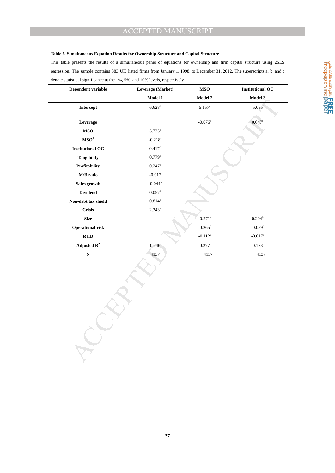#### **Table 6. Simultaneous Equation Results for Ownership Structure and Capital Structure**

This table presents the results of a simultaneous panel of equations for ownership and firm capital structure using 2SLS regression. The sample contains 383 UK listed firms from January 1, 1998, to December 31, 2012. The superscripts a, b, and c denote statistical significance at the 1%, 5%, and 10% levels, respectively.

| Dependent variable      | Leverage (Market) | $\bf{MSO}$            | <b>Institutional OC</b> |
|-------------------------|-------------------|-----------------------|-------------------------|
|                         | Model 1           | Model 2               | Model 3                 |
| Intercept               | $6.628^{\rm a}$   | $5.157^{\rm a}$       | $-5.085^{\circ}$        |
| Leverage                |                   | $-0.076^{\rm a}$      | $0.047^b$               |
| $\bf{MSO}$              | $5.735^{\rm a}$   |                       |                         |
| MSO <sup>2</sup>        | $-0.218^{\rm c}$  |                       |                         |
| <b>Institutional OC</b> | $0.417^{\rm b}$   |                       |                         |
| <b>Tangibility</b>      | $0.779^{\rm a}$   |                       |                         |
| Profitability           | $0.247^{\rm a}$   |                       |                         |
| M/B ratio               | $-0.017$          |                       |                         |
| Sales growth            | $-0.044^{\rm b}$  |                       |                         |
| <b>Dividend</b>         | $0.057^{\rm a}$   |                       |                         |
| Non-debt tax shield     | $0.814^{\rm a}$   |                       |                         |
| <b>Crisis</b>           | $2.343^a$         |                       |                         |
| <b>Size</b>             |                   | $-0.271$ <sup>a</sup> | $0.204^{\rm b}$         |
| <b>Operational risk</b> |                   | $-0.265^{\rm b}$      | $-0.089^{\rm b}$        |
| R&D                     |                   | $-0.112^{\rm c}$      | -0.017 $^{\rm a}$       |
| Adjusted $\mathbf{R}^2$ | 0.546             | 0.277                 | 0.173                   |
| ${\bf N}$               | 4137              | 4137                  | 4137                    |
|                         |                   |                       |                         |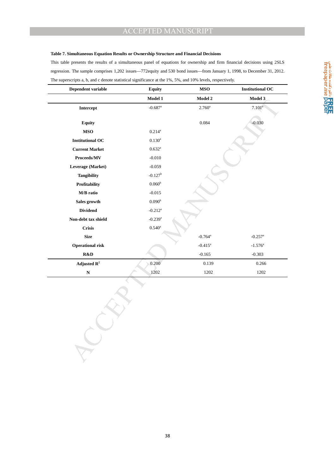#### **Table 7. Simultaneous Equation Results or Ownership Structure and Financial Decisions**

This table presents the results of a simultaneous panel of equations for ownership and firm financial decisions using 2SLS regression. The sample comprises 1,202 issues—772equity and 530 bond issues—from January 1, 1998, to December 31, 2012. The superscripts a, b, and c denote statistical significance at the 1%, 5%, and 10% levels, respectively.

| Dependent variable      | <b>Equity</b>         | <b>MSO</b>            | <b>Institutional OC</b> |
|-------------------------|-----------------------|-----------------------|-------------------------|
|                         | Model 1               | Model 2               | Model 3                 |
| Intercept               | $-0.687$ <sup>a</sup> | $2.760^{\rm a}$       | 7.101 <sup>a</sup>      |
| <b>Equity</b>           |                       | 0.084                 | $-0.030$                |
| <b>MSO</b>              | $0.214^{a}$           |                       |                         |
| <b>Institutional OC</b> | $0.130^{a}$           |                       |                         |
| <b>Current Market</b>   | $0.632^{a}$           |                       |                         |
| Proceeds/MV             | $-0.010$              |                       |                         |
| Leverage (Market)       | $-0.059$              |                       |                         |
| <b>Tangibility</b>      | $-0.127^{\rm b}$      |                       |                         |
| Profitability           | $0.060^{\rm b}$       |                       |                         |
| M/B ratio               | $-0.015$              |                       |                         |
| Sales growth            | 0.090 <sup>b</sup>    |                       |                         |
| <b>Dividend</b>         | $-0.212^a$            |                       |                         |
| Non-debt tax shield     | $-0.239$ <sup>a</sup> |                       |                         |
| <b>Crisis</b>           | $0.540^{\rm a}$       |                       |                         |
| <b>Size</b>             |                       | $-0.764$ <sup>a</sup> | $-0.257$ <sup>a</sup>   |
| <b>Operational risk</b> |                       | $-0.415^{\rm a}$      | $-1.576^a$              |
| R&D                     |                       | $-0.165$              | $-0.303$                |
| Adjusted $\mathbb{R}^2$ | 0.200                 | 0.139                 | 0.266                   |
| ${\bf N}$               | 1202                  | 1202                  | 1202                    |
|                         |                       |                       |                         |

R CRIPT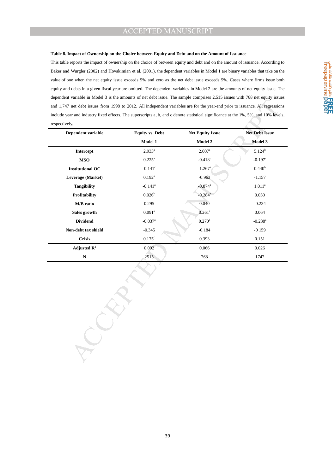# ACCEPTED MANUS

#### **Table 8. Impact of Ownership on the Choice between Equity and Debt and on the Amount of Issuance**

This table reports the impact of ownership on the choice of between equity and debt and on the amount of issuance. According to Baker and Wurgler (2002) and Hovakimian et al. (2001), the dependent variables in Model 1 are binary variables that take on the value of one when the net equity issue exceeds 5% and zero as the net debt issue exceeds 5%. Cases where firms issue both equity and debts in a given fiscal year are omitted. The dependent variables in Model 2 are the amounts of net equity issue. The dependent variable in Model 3 is the amounts of net debt issue. The sample comprises 2,515 issues with 768 net equity issues and 1,747 net debt issues from 1998 to 2012. All independent variables are for the year-end prior to issuance. All regressions include year and industry fixed effects. The superscripts a, b, and c denote statistical significance at the 1%, 5%, and 10% levels, respectively.

| Dependent variable       | <b>Equity vs. Debt</b> | <b>Net Equity Issue</b> | <b>Net Debt Issue</b> |
|--------------------------|------------------------|-------------------------|-----------------------|
|                          | Model 1                | Model 2                 | Model 3               |
| <b>Intercept</b>         | $2.933^{a}$            | 2.007 <sup>a</sup>      | 5.124 <sup>b</sup>    |
| <b>MSO</b>               | $0.225^{\text{a}}$     | $-0.418^{b}$            | $-0.197^{\circ}$      |
| <b>Institutional OC</b>  | $-0.141$ <sup>c</sup>  | $-1.267$ <sup>a</sup>   | 0.440 <sup>b</sup>    |
| <b>Leverage (Market)</b> | $0.192^{\rm a}$        | $-0.963$                | $-1.157$              |
| <b>Tangibility</b>       | $-0.141$ <sup>a</sup>  | $-0.874$ <sup>a</sup>   | $1.011^a$             |
| Profitability            | 0.026 <sup>b</sup>     | $-0.284$ <sup>a</sup>   | 0.030                 |
| M/B ratio                | 0.295                  | 0.040                   | $-0.234$              |
| Sales growth             | $0.091$ <sup>a</sup>   | $0.261$ <sup>a</sup>    | 0.064                 |
| <b>Dividend</b>          | $-0.037$ <sup>a</sup>  | 0.270 <sup>b</sup>      | $-0.238$ <sup>a</sup> |
| Non-debt tax shield      | $-0.345$               | $-0.184$                | $-0.159$              |
| <b>Crisis</b>            | $0.175$ <sup>c</sup>   | 0.393                   | 0.151                 |
| Adjusted $\mathbb{R}^2$  | 0.092                  | 0.066                   | 0.026                 |
| $\mathbf N$              | 2515                   | 768                     | 1747                  |

MANUSCRIPT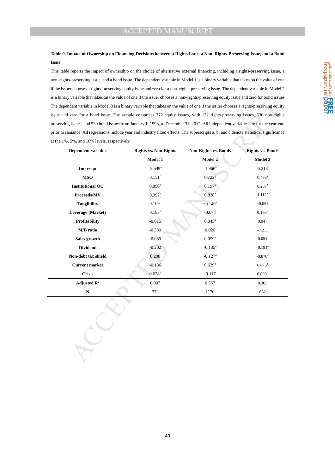# **Table 9. Impact of Ownership on Financing Decisions between a Rights Issue, a Non–Rights-Preserving Issue, and a Bond Issue**

This table reports the impact of ownership on the choice of alternative external financing, including a rights-preserving issue, a non–rights-preserving issue, and a bond issue. The dependent variable in Model 1 is a binary variable that takes on the value of one if the issuer chooses a rights-preserving equity issue and zero for a non–rights-preserving issue. The dependent variable in Model 2 is a binary variable that takes on the value of one if the issuer chooses a non–rights-preserving equity issue and zero for bond issues. The dependent variable in Model 3 is a binary variable that takes on the value of one if the issuer chooses a rights-preserving equity issue and zero for a bond issue. The sample comprises 772 equity issues, with 132 rights-preserving issues, 630 non–rights preserving issues, and 530 bond issues from January 1, 1998, to December 31, 2012. All independent variables are for the year-end prior to issuance. All regressions include year and industry fixed effects. The superscripts a, b, and c denote statistical significance at the 1%, 5%, and 10% levels, respectively.

| The dependent variable in Model 3 is a binary variable that takes on the value of one if the issuer chooses a rights-preserving equity                                                                                                                          |                              |                             |                         |  |  |
|-----------------------------------------------------------------------------------------------------------------------------------------------------------------------------------------------------------------------------------------------------------------|------------------------------|-----------------------------|-------------------------|--|--|
|                                                                                                                                                                                                                                                                 |                              |                             |                         |  |  |
| issue and zero for a bond issue. The sample comprises 772 equity issues, with 132 rights-preserving issues, 630 non-rights<br>preserving issues, and 530 bond issues from January 1, 1998, to December 31, 2012. All independent variables are for the year-end |                              |                             |                         |  |  |
| prior to issuance. All regressions include year and industry fixed effects. The superscripts a, b, and c denote statistical significance                                                                                                                        |                              |                             |                         |  |  |
| at the 1%, 5%, and 10% levels, respectively.                                                                                                                                                                                                                    |                              |                             |                         |  |  |
| Dependent variable                                                                                                                                                                                                                                              | <b>Rights vs. Non-Rights</b> | <b>Non-Rights vs. Bonds</b> | <b>Rights vs. Bonds</b> |  |  |
|                                                                                                                                                                                                                                                                 | Model 1                      | Model 2                     | Model 3                 |  |  |
| Intercept                                                                                                                                                                                                                                                       | $-2.549^{\rm a}$             | $-1.966^a$                  | $-6.218^{a}$            |  |  |
| <b>MSO</b>                                                                                                                                                                                                                                                      | $0.151$ <sup>c</sup>         | $0.722^{a}$                 | $0.453^{\rm a}$         |  |  |
| <b>Institutional OC</b>                                                                                                                                                                                                                                         | $0.096^{\rm b}$              | $0.197$ <sup>a</sup>        | $0.267^{\rm a}$         |  |  |
| Proceeds/MV                                                                                                                                                                                                                                                     | $0.392^{\rm a}$              | $0.838^{a}$                 | $1.112^{a}$             |  |  |
| <b>Tangibility</b>                                                                                                                                                                                                                                              | 0.109 <sup>c</sup>           | $-0.140^a$                  | $-0.051$                |  |  |
| Leverage (Market)                                                                                                                                                                                                                                               | $0.183^{a}$                  | $-0.074$                    | $0.193^{b}$             |  |  |
| Profitability                                                                                                                                                                                                                                                   | $-0.015$                     | $0.045^{\rm a}$             | 0.047                   |  |  |
| M/B ratio                                                                                                                                                                                                                                                       | $-0.339$                     | $0.026\,$                   | $-0.211$                |  |  |
| Sales growth                                                                                                                                                                                                                                                    | $-0.089$                     | $0.059$ <sup>a</sup>        | 0.051                   |  |  |
| <b>Dividend</b>                                                                                                                                                                                                                                                 | $-0.202$                     | $-0.135^{\rm a}$            | $-0.191$ <sup>a</sup>   |  |  |
| Non-debt tax shield                                                                                                                                                                                                                                             | 0.208                        | $-0.127$ <sup>a</sup>       | $-0.878$ <sup>c</sup>   |  |  |
| <b>Current market</b>                                                                                                                                                                                                                                           | $-0.136$                     | $0.639^{a}$                 | $0.876^{a}$             |  |  |
| <b>Crisis</b>                                                                                                                                                                                                                                                   | $0.628^{b}$                  | $-0.117$                    | 0.800 <sup>b</sup>      |  |  |
| Adjusted $\mathbb{R}^2$                                                                                                                                                                                                                                         | 0.097                        | 0.367                       | 0.363                   |  |  |
| ${\bf N}$                                                                                                                                                                                                                                                       | 772                          | 1170                        | 662                     |  |  |
|                                                                                                                                                                                                                                                                 |                              |                             |                         |  |  |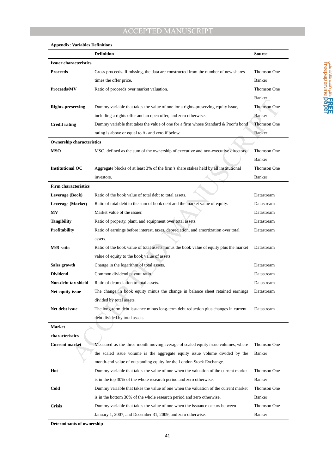#### **Appendix: Variables Definitions**

|                                  | <b>Definition</b>                                                                      | Source             |  |  |
|----------------------------------|----------------------------------------------------------------------------------------|--------------------|--|--|
| <b>Issuer characteristics</b>    |                                                                                        |                    |  |  |
| <b>Proceeds</b>                  | Gross proceeds. If missing, the data are constructed from the number of new shares     | Thomson One        |  |  |
|                                  | times the offer price.                                                                 | Banker             |  |  |
| Proceeds/MV                      | Ratio of proceeds over market valuation.                                               | Thomson One        |  |  |
|                                  |                                                                                        | Banker             |  |  |
| <b>Rights-preserving</b>         | Dummy variable that takes the value of one for a rights-preserving equity issue,       | Thomson One        |  |  |
|                                  | including a rights offer and an open offer, and zero otherwise.                        | Banker             |  |  |
| <b>Credit rating</b>             | Dummy variable that takes the value of one for a firm whose Standard & Poor's bond     | Thomson One        |  |  |
|                                  | rating is above or equal to A- and zero if below.                                      | <b>Banker</b>      |  |  |
| <b>Ownership characteristics</b> |                                                                                        |                    |  |  |
| MSO                              | MSO, defined as the sum of the ownership of executive and non-executive directors.     | Thomson One        |  |  |
|                                  |                                                                                        | Banker             |  |  |
| <b>Institutional OC</b>          | Aggregate blocks of at least 3% of the firm's share stakes held by all institutional   | <b>Thomson One</b> |  |  |
|                                  | investors.                                                                             | Banker             |  |  |
| <b>Firm characteristics</b>      |                                                                                        |                    |  |  |
| Leverage (Book)                  | Ratio of the book value of total debt to total assets.                                 | Datastream         |  |  |
| Leverage (Market)                | Ratio of total debt to the sum of book debt and the market value of equity.            | Datastream         |  |  |
| MV                               | Market value of the issuer.                                                            | Datastream         |  |  |
| <b>Tangibility</b>               | Ratio of property, plant, and equipment over total assets.                             | Datastream         |  |  |
| Profitability                    | Ratio of earnings before interest, taxes, depreciation, and amortization over total    | Datastream         |  |  |
|                                  | assets.                                                                                |                    |  |  |
| M/B ratio                        | Ratio of the book value of total assets minus the book value of equity plus the market | Datastream         |  |  |
|                                  | value of equity to the book value of assets.                                           |                    |  |  |
| Sales growth                     | Change in the logarithm of total assets.                                               | Datastream         |  |  |
| <b>Dividend</b>                  | Common dividend payout ratio.                                                          | Datastream         |  |  |
| Non-debt tax shield              | Ratio of depreciation to total assets.                                                 | Datastream         |  |  |
| Net equity issue                 | The change in book equity minus the change in balance sheet retained earnings          | Datastream         |  |  |
|                                  | divided by total assets.                                                               |                    |  |  |
| Net debt issue                   | The long-term debt issuance minus long-term debt reduction plus changes in current     | Datastream         |  |  |
|                                  | debt divided by total assets.                                                          |                    |  |  |
| Market                           |                                                                                        |                    |  |  |
| characteristics                  |                                                                                        |                    |  |  |
| Current market                   | Measured as the three-month moving average of scaled equity issue volumes, where       | Thomson One        |  |  |
|                                  | the scaled issue volume is the aggregate equity issue volume divided by the            | Banker             |  |  |
|                                  | month-end value of outstanding equity for the London Stock Exchange.                   |                    |  |  |
| Hot                              | Dummy variable that takes the value of one when the valuation of the current market    | Thomson One        |  |  |
|                                  | is in the top 30% of the whole research period and zero otherwise.                     | Banker             |  |  |
| Cold                             | Dummy variable that takes the value of one when the valuation of the current market    | Thomson One        |  |  |
|                                  | is in the bottom 30% of the whole research period and zero otherwise.                  | Banker             |  |  |
| Crisis                           | Dummy variable that takes the value of one when the issuance occurs between            | Thomson One        |  |  |
|                                  | January 1, 2007, and December 31, 2009, and zero otherwise.                            | Banker             |  |  |
|                                  |                                                                                        |                    |  |  |

**Determinants of ownership**